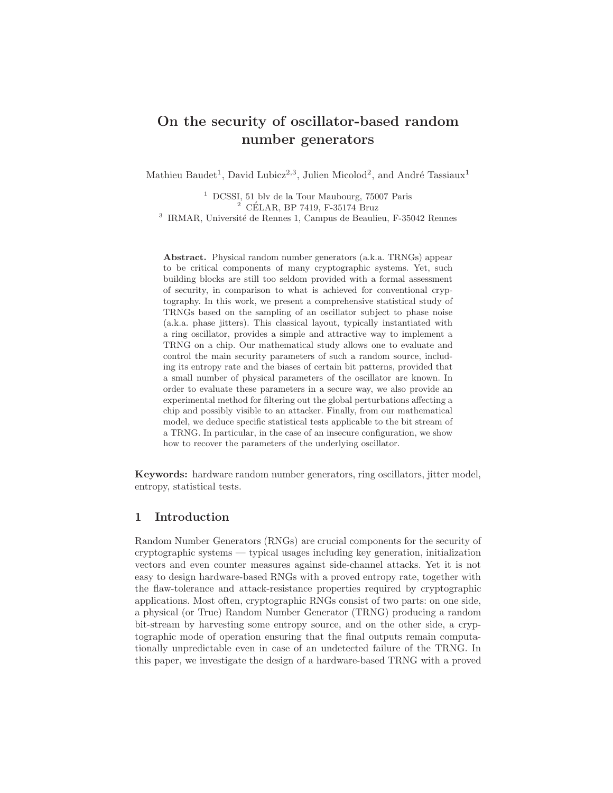# On the security of oscillator-based random number generators

Mathieu Baudet<sup>1</sup>, David Lubicz<sup>2,3</sup>, Julien Micolod<sup>2</sup>, and André Tassiaux<sup>1</sup>

 $^{\rm 1}$  DCSSI, 51 blv de la Tour Maubourg, 75007 Paris  $2$  CÉLAR, BP 7419, F-35174 Bruz <sup>3</sup> IRMAR, Université de Rennes 1, Campus de Beaulieu, F-35042 Rennes

Abstract. Physical random number generators (a.k.a. TRNGs) appear to be critical components of many cryptographic systems. Yet, such building blocks are still too seldom provided with a formal assessment of security, in comparison to what is achieved for conventional cryptography. In this work, we present a comprehensive statistical study of TRNGs based on the sampling of an oscillator subject to phase noise (a.k.a. phase jitters). This classical layout, typically instantiated with a ring oscillator, provides a simple and attractive way to implement a TRNG on a chip. Our mathematical study allows one to evaluate and control the main security parameters of such a random source, including its entropy rate and the biases of certain bit patterns, provided that a small number of physical parameters of the oscillator are known. In order to evaluate these parameters in a secure way, we also provide an experimental method for filtering out the global perturbations affecting a chip and possibly visible to an attacker. Finally, from our mathematical model, we deduce specific statistical tests applicable to the bit stream of a TRNG. In particular, in the case of an insecure configuration, we show how to recover the parameters of the underlying oscillator.

Keywords: hardware random number generators, ring oscillators, jitter model, entropy, statistical tests.

## 1 Introduction

Random Number Generators (RNGs) are crucial components for the security of cryptographic systems — typical usages including key generation, initialization vectors and even counter measures against side-channel attacks. Yet it is not easy to design hardware-based RNGs with a proved entropy rate, together with the flaw-tolerance and attack-resistance properties required by cryptographic applications. Most often, cryptographic RNGs consist of two parts: on one side, a physical (or True) Random Number Generator (TRNG) producing a random bit-stream by harvesting some entropy source, and on the other side, a cryptographic mode of operation ensuring that the final outputs remain computationally unpredictable even in case of an undetected failure of the TRNG. In this paper, we investigate the design of a hardware-based TRNG with a proved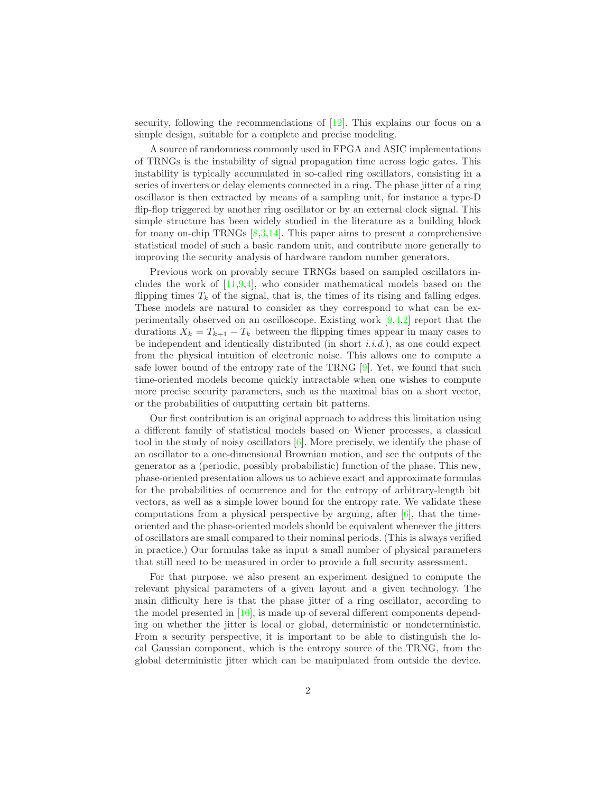security, following the recommendations of [\[12\]](#page-17-0). This explains our focus on a simple design, suitable for a complete and precise modeling.

A source of randomness commonly used in FPGA and ASIC implementations of TRNGs is the instability of signal propagation time across logic gates. This instability is typically accumulated in so-called ring oscillators, consisting in a series of inverters or delay elements connected in a ring. The phase jitter of a ring oscillator is then extracted by means of a sampling unit, for instance a type-D flip-flop triggered by another ring oscillator or by an external clock signal. This simple structure has been widely studied in the literature as a building block for many on-chip TRNGs [\[8,](#page-16-0)[3](#page-16-1)[,14\]](#page-17-1). This paper aims to present a comprehensive statistical model of such a basic random unit, and contribute more generally to improving the security analysis of hardware random number generators.

Previous work on provably secure TRNGs based on sampled oscillators includes the work of [\[11](#page-16-2)[,9](#page-16-3)[,4\]](#page-16-4), who consider mathematical models based on the flipping times  $T_k$  of the signal, that is, the times of its rising and falling edges. These models are natural to consider as they correspond to what can be experimentally observed on an oscilloscope. Existing work  $[9,4,2]$  $[9,4,2]$  $[9,4,2]$  report that the durations  $X_k = T_{k+1} - T_k$  between the flipping times appear in many cases to be independent and identically distributed (in short  $i.i.d.$ ), as one could expect from the physical intuition of electronic noise. This allows one to compute a safe lower bound of the entropy rate of the TRNG [\[9\]](#page-16-3). Yet, we found that such time-oriented models become quickly intractable when one wishes to compute more precise security parameters, such as the maximal bias on a short vector, or the probabilities of outputting certain bit patterns.

Our first contribution is an original approach to address this limitation using a different family of statistical models based on Wiener processes, a classical tool in the study of noisy oscillators [\[6\]](#page-16-6). More precisely, we identify the phase of an oscillator to a one-dimensional Brownian motion, and see the outputs of the generator as a (periodic, possibly probabilistic) function of the phase. This new, phase-oriented presentation allows us to achieve exact and approximate formulas for the probabilities of occurrence and for the entropy of arbitrary-length bit vectors, as well as a simple lower bound for the entropy rate. We validate these computations from a physical perspective by arguing, after  $[6]$ , that the timeoriented and the phase-oriented models should be equivalent whenever the jitters of oscillators are small compared to their nominal periods. (This is always verified in practice.) Our formulas take as input a small number of physical parameters that still need to be measured in order to provide a full security assessment.

For that purpose, we also present an experiment designed to compute the relevant physical parameters of a given layout and a given technology. The main difficulty here is that the phase jitter of a ring oscillator, according to the model presented in  $[16]$ , is made up of several different components depending on whether the jitter is local or global, deterministic or nondeterministic. From a security perspective, it is important to be able to distinguish the local Gaussian component, which is the entropy source of the TRNG, from the global deterministic jitter which can be manipulated from outside the device.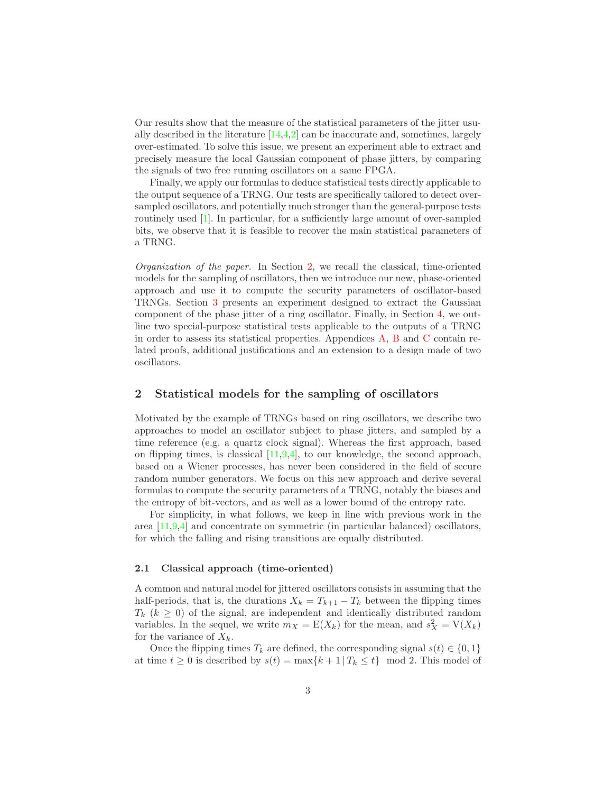Our results show that the measure of the statistical parameters of the jitter usually described in the literature  $[14,4,2]$  $[14,4,2]$  $[14,4,2]$  can be inaccurate and, sometimes, largely over-estimated. To solve this issue, we present an experiment able to extract and precisely measure the local Gaussian component of phase jitters, by comparing the signals of two free running oscillators on a same FPGA.

Finally, we apply our formulas to deduce statistical tests directly applicable to the output sequence of a TRNG. Our tests are specifically tailored to detect oversampled oscillators, and potentially much stronger than the general-purpose tests routinely used [\[1\]](#page-16-7). In particular, for a sufficiently large amount of over-sampled bits, we observe that it is feasible to recover the main statistical parameters of a TRNG.

Organization of the paper. In Section [2,](#page-2-0) we recall the classical, time-oriented models for the sampling of oscillators, then we introduce our new, phase-oriented approach and use it to compute the security parameters of oscillator-based TRNGs. Section [3](#page-7-0) presents an experiment designed to extract the Gaussian component of the phase jitter of a ring oscillator. Finally, in Section [4,](#page-10-0) we outline two special-purpose statistical tests applicable to the outputs of a TRNG in order to assess its statistical properties. Appendices [A,](#page-17-3) [B](#page-23-0) and [C](#page-25-0) contain related proofs, additional justifications and an extension to a design made of two oscillators.

### <span id="page-2-0"></span>2 Statistical models for the sampling of oscillators

Motivated by the example of TRNGs based on ring oscillators, we describe two approaches to model an oscillator subject to phase jitters, and sampled by a time reference (e.g. a quartz clock signal). Whereas the first approach, based on flipping times, is classical  $[11,9,4]$  $[11,9,4]$  $[11,9,4]$ , to our knowledge, the second approach, based on a Wiener processes, has never been considered in the field of secure random number generators. We focus on this new approach and derive several formulas to compute the security parameters of a TRNG, notably the biases and the entropy of bit-vectors, and as well as a lower bound of the entropy rate.

For simplicity, in what follows, we keep in line with previous work in the area  $[11,9,4]$  $[11,9,4]$  $[11,9,4]$  and concentrate on symmetric (in particular balanced) oscillators, for which the falling and rising transitions are equally distributed.

#### 2.1 Classical approach (time-oriented)

A common and natural model for jittered oscillators consists in assuming that the half-periods, that is, the durations  $X_k = T_{k+1} - T_k$  between the flipping times  $T_k$   $(k \geq 0)$  of the signal, are independent and identically distributed random variables. In the sequel, we write  $m_X = E(X_k)$  for the mean, and  $s_X^2 = V(X_k)$ for the variance of  $X_k$ .

Once the flipping times  $T_k$  are defined, the corresponding signal  $s(t) \in \{0, 1\}$ at time  $t \geq 0$  is described by  $s(t) = \max\{k+1 | T_k \leq t\} \mod 2$ . This model of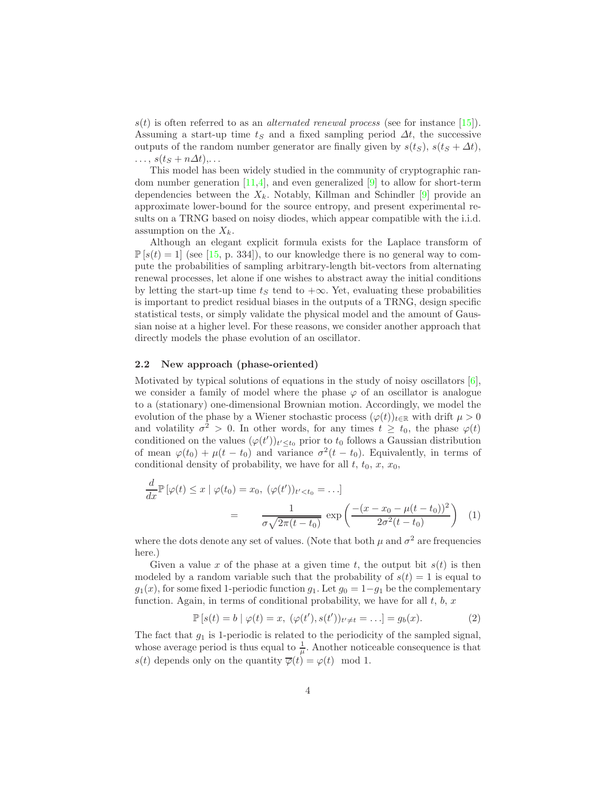$s(t)$  is often referred to as an *alternated renewal process* (see for instance [\[15\]](#page-17-4)). Assuming a start-up time  $t<sub>S</sub>$  and a fixed sampling period  $\Delta t$ , the successive outputs of the random number generator are finally given by  $s(t<sub>S</sub>)$ ,  $s(t<sub>S</sub> + \Delta t)$ ,  $\ldots, s(t_S + n\Delta t), \ldots$ 

This model has been widely studied in the community of cryptographic random number generation [\[11](#page-16-2)[,4\]](#page-16-4), and even generalized [\[9\]](#page-16-3) to allow for short-term dependencies between the  $X_k$ . Notably, Killman and Schindler [\[9\]](#page-16-3) provide an approximate lower-bound for the source entropy, and present experimental results on a TRNG based on noisy diodes, which appear compatible with the i.i.d. assumption on the  $X_k$ .

Although an elegant explicit formula exists for the Laplace transform of  $\mathbb{P}[s(t) = 1]$  (see [\[15,](#page-17-4) p. 334]), to our knowledge there is no general way to compute the probabilities of sampling arbitrary-length bit-vectors from alternating renewal processes, let alone if one wishes to abstract away the initial conditions by letting the start-up time  $t<sub>S</sub>$  tend to  $+\infty$ . Yet, evaluating these probabilities is important to predict residual biases in the outputs of a TRNG, design specific statistical tests, or simply validate the physical model and the amount of Gaussian noise at a higher level. For these reasons, we consider another approach that directly models the phase evolution of an oscillator.

#### 2.2 New approach (phase-oriented)

Motivated by typical solutions of equations in the study of noisy oscillators [\[6\]](#page-16-6), we consider a family of model where the phase  $\varphi$  of an oscillator is analogue to a (stationary) one-dimensional Brownian motion. Accordingly, we model the evolution of the phase by a Wiener stochastic process  $(\varphi(t))_{t\in\mathbb{R}}$  with drift  $\mu > 0$ and volatility  $\sigma^2 > 0$ . In other words, for any times  $t \geq t_0$ , the phase  $\varphi(t)$ conditioned on the values  $(\varphi(t'))_{t' \leq t_0}$  prior to  $t_0$  follows a Gaussian distribution of mean  $\varphi(t_0) + \mu(t - t_0)$  and variance  $\sigma^2(t - t_0)$ . Equivalently, in terms of conditional density of probability, we have for all  $t, t_0, x, x_0$ ,

$$
\frac{d}{dx}\mathbb{P}[\varphi(t) \le x \mid \varphi(t_0) = x_0, \ (\varphi(t'))_{t' < t_0} = \dots]
$$
\n
$$
= \frac{1}{\sigma\sqrt{2\pi(t - t_0)}} \exp\left(\frac{-(x - x_0 - \mu(t - t_0))^2}{2\sigma^2(t - t_0)}\right) \tag{1}
$$

where the dots denote any set of values. (Note that both  $\mu$  and  $\sigma^2$  are frequencies here.)

Given a value x of the phase at a given time t, the output bit  $s(t)$  is then modeled by a random variable such that the probability of  $s(t) = 1$  is equal to  $g_1(x)$ , for some fixed 1-periodic function  $g_1$ . Let  $g_0 = 1-g_1$  be the complementary function. Again, in terms of conditional probability, we have for all  $t, b, x$ 

<span id="page-3-0"></span>
$$
\mathbb{P}\left[s(t) = b \mid \varphi(t) = x, \ (\varphi(t'), s(t'))_{t' \neq t} = \ldots\right] = g_b(x). \tag{2}
$$

The fact that  $g_1$  is 1-periodic is related to the periodicity of the sampled signal, whose average period is thus equal to  $\frac{1}{\mu}$ . Another noticeable consequence is that  $s(t)$  depends only on the quantity  $\overline{\varphi}(t) = \varphi(t) \mod 1$ .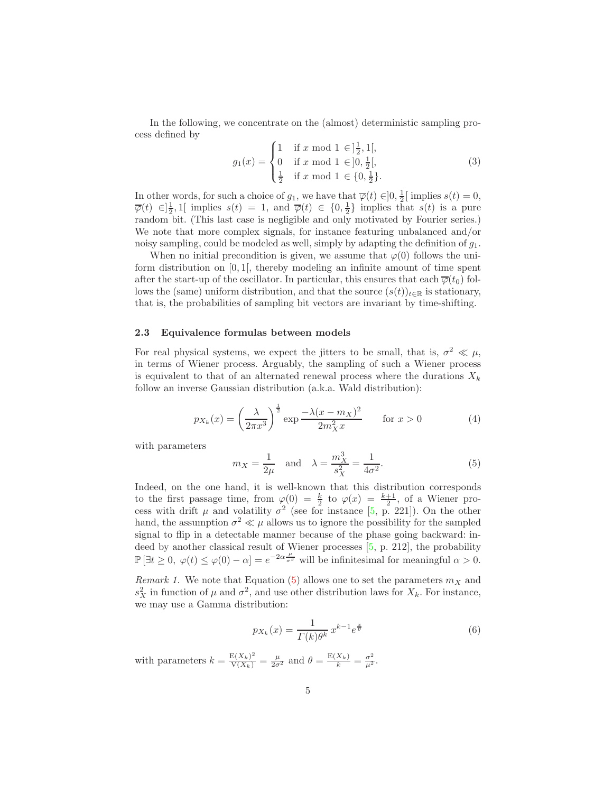In the following, we concentrate on the (almost) deterministic sampling process defined by

$$
g_1(x) = \begin{cases} 1 & \text{if } x \text{ mod } 1 \in ]\frac{1}{2}, 1[, \\ 0 & \text{if } x \text{ mod } 1 \in ]0, \frac{1}{2}[, \\ \frac{1}{2} & \text{if } x \text{ mod } 1 \in \{0, \frac{1}{2}\}. \end{cases}
$$
(3)

In other words, for such a choice of  $g_1$ , we have that  $\overline{\varphi}(t) \in ]0, \frac{1}{2}[\text{ implies } s(t) = 0,$  $\overline{\varphi}(t) \in ]\frac{1}{2},1[$  implies  $s(t) = 1$ , and  $\overline{\varphi}(t) \in \{0,\frac{1}{2}\}\$ implies that  $s(t)$  is a pure random bit. (This last case is negligible and only motivated by Fourier series.) We note that more complex signals, for instance featuring unbalanced and/or noisy sampling, could be modeled as well, simply by adapting the definition of  $g_1$ .

When no initial precondition is given, we assume that  $\varphi(0)$  follows the uniform distribution on [0, 1[, thereby modeling an infinite amount of time spent after the start-up of the oscillator. In particular, this ensures that each  $\overline{\varphi}(t_0)$  follows the (same) uniform distribution, and that the source  $(s(t))_{t\in\mathbb{R}}$  is stationary, that is, the probabilities of sampling bit vectors are invariant by time-shifting.

#### 2.3 Equivalence formulas between models

For real physical systems, we expect the jitters to be small, that is,  $\sigma^2 \ll \mu$ , in terms of Wiener process. Arguably, the sampling of such a Wiener process is equivalent to that of an alternated renewal process where the durations  $X_k$ follow an inverse Gaussian distribution (a.k.a. Wald distribution):

$$
p_{X_k}(x) = \left(\frac{\lambda}{2\pi x^3}\right)^{\frac{1}{2}} \exp\frac{-\lambda(x - m_X)^2}{2m_X^2 x} \qquad \text{for } x > 0 \tag{4}
$$

<span id="page-4-0"></span>with parameters

$$
m_X = \frac{1}{2\mu}
$$
 and  $\lambda = \frac{m_X^3}{s_X^2} = \frac{1}{4\sigma^2}$ . (5)

Indeed, on the one hand, it is well-known that this distribution corresponds to the first passage time, from  $\varphi(0) = \frac{k}{2}$  to  $\varphi(x) = \frac{k+1}{2}$ , of a Wiener process with drift  $\mu$  and volatility  $\sigma^2$  (see for instance [\[5,](#page-16-8) p. 221]). On the other hand, the assumption  $\sigma^2 \ll \mu$  allows us to ignore the possibility for the sampled signal to flip in a detectable manner because of the phase going backward: indeed by another classical result of Wiener processes [\[5,](#page-16-8) p. 212], the probability  $\mathbb{P}[\exists t \geq 0, \varphi(t) \leq \varphi(0) - \alpha] = e^{-2\alpha \frac{\mu}{\sigma^2}}$  will be infinitesimal for meaningful  $\alpha > 0$ .

Remark 1. We note that Equation [\(5\)](#page-4-0) allows one to set the parameters  $m<sub>X</sub>$  and  $s_X^2$  in function of  $\mu$  and  $\sigma^2$ , and use other distribution laws for  $X_k$ . For instance, we may use a Gamma distribution:

$$
p_{X_k}(x) = \frac{1}{\Gamma(k)\theta^k} x^{k-1} e^{\frac{x}{\theta}} \tag{6}
$$

with parameters  $k = \frac{E(X_k)^2}{V(X_k)} = \frac{\mu}{2\sigma^2}$  and  $\theta = \frac{E(X_k)}{k} = \frac{\sigma^2}{\mu^2}$ .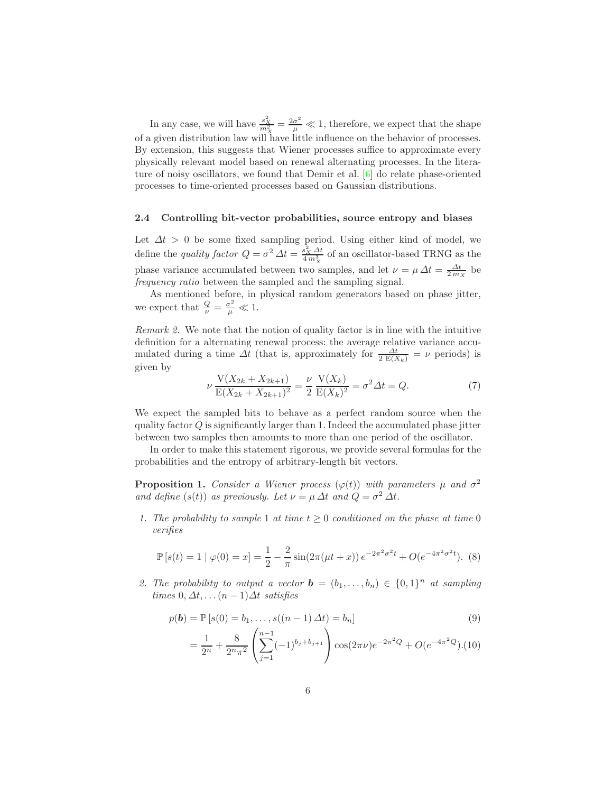In any case, we will have  $\frac{s_X^2}{m_X^2} = \frac{2\sigma^2}{\mu} \ll 1$ , therefore, we expect that the shape of a given distribution law will have little influence on the behavior of processes. By extension, this suggests that Wiener processes suffice to approximate every physically relevant model based on renewal alternating processes. In the literature of noisy oscillators, we found that Demir et al. [\[6\]](#page-16-6) do relate phase-oriented processes to time-oriented processes based on Gaussian distributions.

## 2.4 Controlling bit-vector probabilities, source entropy and biases

Let  $\Delta t$  > 0 be some fixed sampling period. Using either kind of model, we define the *quality factor*  $Q = \sigma^2 \Delta t = \frac{s_X^2 \Delta t}{4 m_X^3}$  of an oscillator-based TRNG as the phase variance accumulated between two samples, and let  $\nu = \mu \Delta t = \frac{\Delta t}{2 m_X}$  be frequency ratio between the sampled and the sampling signal.

As mentioned before, in physical random generators based on phase jitter, we expect that  $\frac{Q}{\nu} = \frac{\sigma^2}{\mu} \ll 1$ .

Remark 2. We note that the notion of quality factor is in line with the intuitive definition for a alternating renewal process: the average relative variance accumulated during a time  $\Delta t$  (that is, approximately for  $\frac{\Delta t}{2 E(X_k)} = \nu$  periods) is given by

$$
\nu \frac{V(X_{2k} + X_{2k+1})}{E(X_{2k} + X_{2k+1})^2} = \frac{\nu}{2} \frac{V(X_k)}{E(X_k)^2} = \sigma^2 \Delta t = Q.
$$
 (7)

We expect the sampled bits to behave as a perfect random source when the quality factor  $Q$  is significantly larger than 1. Indeed the accumulated phase jitter between two samples then amounts to more than one period of the oscillator.

<span id="page-5-1"></span>In order to make this statement rigorous, we provide several formulas for the probabilities and the entropy of arbitrary-length bit vectors.

**Proposition 1.** Consider a Wiener process  $(\varphi(t))$  with parameters  $\mu$  and  $\sigma^2$ and define  $(s(t))$  as previously. Let  $\nu = \mu \Delta t$  and  $Q = \sigma^2 \Delta t$ .

1. The probability to sample 1 at time  $t \geq 0$  conditioned on the phase at time 0 verifies

$$
\mathbb{P}\left[s(t) = 1 \mid \varphi(0) = x\right] = \frac{1}{2} - \frac{2}{\pi} \sin(2\pi(\mu t + x)) e^{-2\pi^2 \sigma^2 t} + O(e^{-4\pi^2 \sigma^2 t}).
$$
 (8)

<span id="page-5-0"></span>2. The probability to output a vector  $\mathbf{b} = (b_1, \ldots, b_n) \in \{0,1\}^n$  at sampling times  $0, \Delta t, \ldots (n-1)\Delta t$  satisfies

$$
p(\mathbf{b}) = \mathbb{P}\left[s(0) = b_1, \dots, s((n-1)\Delta t) = b_n\right]
$$
\n
$$
= \frac{1}{2^n} + \frac{8}{2^n \pi^2} \left( \sum_{j=1}^{n-1} (-1)^{b_j + b_{j+1}} \right) \cos(2\pi \nu) e^{-2\pi^2 Q} + O(e^{-4\pi^2 Q}).
$$
\n(10)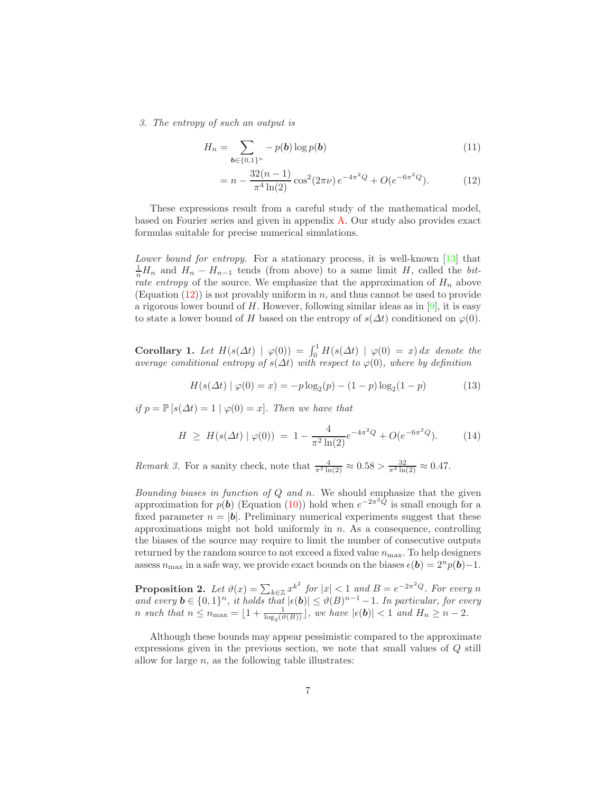<span id="page-6-0"></span>3. The entropy of such an output is

$$
H_n = \sum_{\boldsymbol{b} \in \{0,1\}^n} -p(\boldsymbol{b}) \log p(\boldsymbol{b}) \tag{11}
$$

$$
= n - \frac{32(n-1)}{\pi^4 \ln(2)} \cos^2(2\pi\nu) e^{-4\pi^2 Q} + O(e^{-6\pi^2 Q}).
$$
 (12)

These expressions result from a careful study of the mathematical model, based on Fourier series and given in appendix [A.](#page-17-3) Our study also provides exact formulas suitable for precise numerical simulations.

Lower bound for entropy. For a stationary process, it is well-known [\[13\]](#page-17-5) that  $\frac{1}{n}H_n$  and  $H_n - H_{n-1}$  tends (from above) to a same limit H, called the bitrate entropy of the source. We emphasize that the approximation of  $H_n$  above (Equation  $(12)$ ) is not provably uniform in n, and thus cannot be used to provide a rigorous lower bound of H. However, following similar ideas as in [\[9\]](#page-16-3), it is easy to state a lower bound of H based on the entropy of  $s(\Delta t)$  conditioned on  $\varphi(0)$ .

<span id="page-6-1"></span>Corollary 1. Let  $H(s(\Delta t) | \varphi(0)) = \int_0^1 H(s(\Delta t) | \varphi(0)) = x) dx$  denote the average conditional entropy of  $s(\Delta t)$  with respect to  $\varphi(0)$ , where by definition

$$
H(s(\Delta t) | \varphi(0) = x) = -p \log_2(p) - (1 - p) \log_2(1 - p)
$$
 (13)

if  $p = \mathbb{P} [s(\Delta t) = 1 | \varphi(0) = x]$ . Then we have that

$$
H \ge H(s(\Delta t) \mid \varphi(0)) = 1 - \frac{4}{\pi^2 \ln(2)} e^{-4\pi^2 Q} + O(e^{-6\pi^2 Q}). \tag{14}
$$

Remark 3. For a sanity check, note that  $\frac{4}{\pi^2 \ln(2)} \approx 0.58 > \frac{32}{\pi^4 \ln(2)} \approx 0.47$ .

Bounding biases in function of  $Q$  and  $n$ . We should emphasize that the given approximation for  $p(b)$  (Equation [\(10\)](#page-5-0)) hold when  $e^{-2\pi^2 \tilde{Q}}$  is small enough for a fixed parameter  $n = |\mathbf{b}|$ . Preliminary numerical experiments suggest that these approximations might not hold uniformly in  $n$ . As a consequence, controlling the biases of the source may require to limit the number of consecutive outputs returned by the random source to not exceed a fixed value  $n_{\text{max}}$ . To help designers assess  $n_{\text{max}}$  in a safe way, we provide exact bounds on the biases  $\epsilon(\mathbf{b}) = 2^n p(\mathbf{b})-1$ .

<span id="page-6-2"></span>**Proposition 2.** Let  $\vartheta(x) = \sum_{k \in \mathbb{Z}} x^{k^2}$  for  $|x| < 1$  and  $B = e^{-2\pi^2 Q}$ . For every n and every  $b \in \{0,1\}^n$ , it holds that  $|\epsilon(b)| \leq \vartheta(B)^{n-1} - 1$ . In particular, for every *n* such that  $n \le n_{\text{max}} = \lfloor 1 + \frac{1}{\log_2(\vartheta(B))} \rfloor$ , we have  $|\epsilon(b)| < 1$  and  $H_n \ge n - 2$ .

Although these bounds may appear pessimistic compared to the approximate expressions given in the previous section, we note that small values of Q still allow for large  $n$ , as the following table illustrates: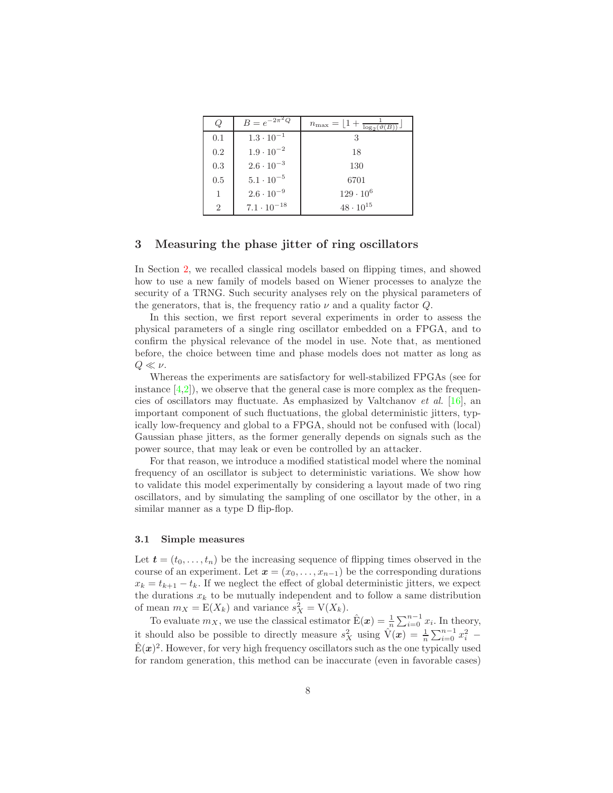|                             | $B = e^{-2\pi^2 Q}$  | $n_{\text{max}} = \left\lfloor 1 + \frac{1}{\log_2(\vartheta)} \right\rfloor$ |
|-----------------------------|----------------------|-------------------------------------------------------------------------------|
| 0.1                         | $1.3 \cdot 10^{-1}$  | 3                                                                             |
| 0.2                         | $1.9 \cdot 10^{-2}$  | 18                                                                            |
| 0.3                         | $2.6 \cdot 10^{-3}$  | 130                                                                           |
| 0.5                         | $5.1 \cdot 10^{-5}$  | 6701                                                                          |
| 1                           | $2.6 \cdot 10^{-9}$  | $129 \cdot 10^6$                                                              |
| $\mathcal{D}_{\mathcal{L}}$ | $7.1 \cdot 10^{-18}$ | $48 \cdot 10^{15}$                                                            |

## <span id="page-7-0"></span>3 Measuring the phase jitter of ring oscillators

In Section [2,](#page-2-0) we recalled classical models based on flipping times, and showed how to use a new family of models based on Wiener processes to analyze the security of a TRNG. Such security analyses rely on the physical parameters of the generators, that is, the frequency ratio  $\nu$  and a quality factor  $Q$ .

In this section, we first report several experiments in order to assess the physical parameters of a single ring oscillator embedded on a FPGA, and to confirm the physical relevance of the model in use. Note that, as mentioned before, the choice between time and phase models does not matter as long as  $Q \ll \nu$ .

Whereas the experiments are satisfactory for well-stabilized FPGAs (see for instance  $[4,2]$  $[4,2]$ , we observe that the general case is more complex as the frequencies of oscillators may fluctuate. As emphasized by Valtchanov *et al.* [\[16\]](#page-17-2), an important component of such fluctuations, the global deterministic jitters, typically low-frequency and global to a FPGA, should not be confused with (local) Gaussian phase jitters, as the former generally depends on signals such as the power source, that may leak or even be controlled by an attacker.

For that reason, we introduce a modified statistical model where the nominal frequency of an oscillator is subject to deterministic variations. We show how to validate this model experimentally by considering a layout made of two ring oscillators, and by simulating the sampling of one oscillator by the other, in a similar manner as a type D flip-flop.

#### <span id="page-7-1"></span>3.1 Simple measures

Let  $\mathbf{t} = (t_0, \ldots, t_n)$  be the increasing sequence of flipping times observed in the course of an experiment. Let  $x = (x_0, \ldots, x_{n-1})$  be the corresponding durations  $x_k = t_{k+1} - t_k$ . If we neglect the effect of global deterministic jitters, we expect the durations  $x_k$  to be mutually independent and to follow a same distribution of mean  $m_X = E(X_k)$  and variance  $s_X^2 = V(X_k)$ .

To evaluate  $m_X$ , we use the classical estimator  $\hat{E}(\boldsymbol{x}) = \frac{1}{n} \sum_{i=0}^{n-1} x_i$ . In theory, it should also be possible to directly measure  $s_X^2$  using  $\hat{V}(x) = \frac{1}{n} \sum_{i=0}^{n-1} x_i^2$  $\hat{E}(x)^2$ . However, for very high frequency oscillators such as the one typically used for random generation, this method can be inaccurate (even in favorable cases)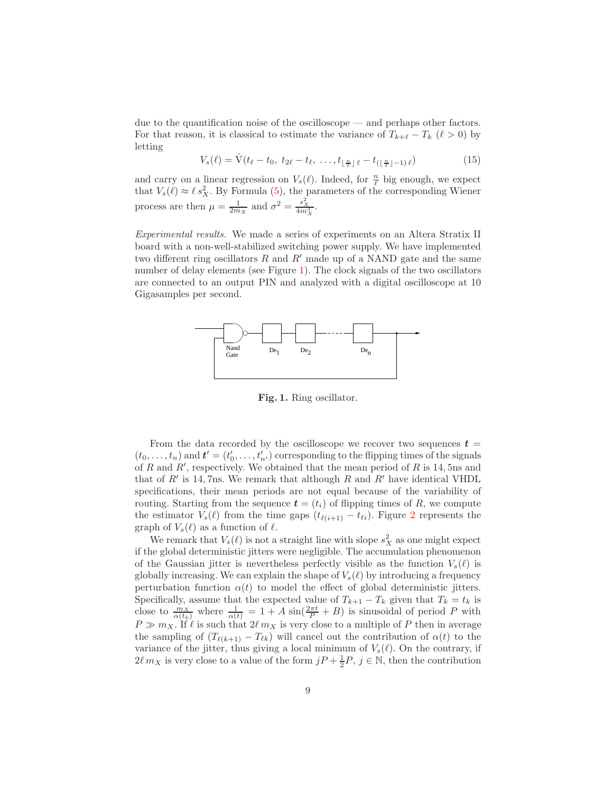due to the quantification noise of the oscilloscope — and perhaps other factors. For that reason, it is classical to estimate the variance of  $T_{k+\ell} - T_k$  ( $\ell > 0$ ) by letting

$$
V_s(\ell) = \hat{V}(t_{\ell} - t_0, t_{2\ell} - t_{\ell}, \dots, t_{\lfloor \frac{n}{\ell} \rfloor \ell} - t_{(\lfloor \frac{n}{\ell} \rfloor - 1)\ell}) \tag{15}
$$

and carry on a linear regression on  $V_s(\ell)$ . Indeed, for  $\frac{n}{\ell}$  big enough, we expect that  $V_s(\ell) \approx \ell s_X^2$ . By Formula [\(5\)](#page-4-0), the parameters of the corresponding Wiener process are then  $\mu = \frac{1}{2m_X}$  and  $\sigma^2 = \frac{s_X^2}{4m_X^3}$ .

Experimental results. We made a series of experiments on an Altera Stratix II board with a non-well-stabilized switching power supply. We have implemented two different ring oscillators  $R$  and  $R'$  made up of a NAND gate and the same number of delay elements (see Figure [1\)](#page-8-0). The clock signals of the two oscillators are connected to an output PIN and analyzed with a digital oscilloscope at 10 Gigasamples per second.



<span id="page-8-0"></span>Fig. 1. Ring oscillator.

From the data recorded by the oscilloscope we recover two sequences  $t =$  $(t_0, \ldots, t_n)$  and  $t' = (t'_0, \ldots, t'_{n'})$  corresponding to the flipping times of the signals of R and R', respectively. We obtained that the mean period of R is  $14, 5$ ns and that of  $R'$  is 14,7ns. We remark that although  $R$  and  $R'$  have identical VHDL specifications, their mean periods are not equal because of the variability of routing. Starting from the sequence  $\mathbf{t} = (t_i)$  of flipping times of R, we compute the estimator  $V_s(\ell)$  from the time gaps  $(t_{\ell(i+1)} - t_{\ell i})$ . Figure [2](#page-9-0) represents the graph of  $V_s(\ell)$  as a function of  $\ell$ .

We remark that  $V_s(\ell)$  is not a straight line with slope  $s_X^2$  as one might expect if the global deterministic jitters were negligible. The accumulation phenomenon of the Gaussian jitter is nevertheless perfectly visible as the function  $V_s(\ell)$  is globally increasing. We can explain the shape of  $V_s(\ell)$  by introducing a frequency perturbation function  $\alpha(t)$  to model the effect of global deterministic jitters. Specifically, assume that the expected value of  $T_{k+1} - T_k$  given that  $T_k = t_k$  is close to  $\frac{m_X}{\alpha(t_k)}$  where  $\frac{1}{\alpha(t)} = 1 + A \sin(\frac{2\pi t}{P} + B)$  is sinusoidal of period P with  $P \gg m_X$ . If  $\ell$  is such that  $2\ell m_X$  is very close to a multiple of P then in average the sampling of  $(T_{\ell(k+1)} - T_{\ell k})$  will cancel out the contribution of  $\alpha(t)$  to the variance of the jitter, thus giving a local minimum of  $V_s(\ell)$ . On the contrary, if  $2\ell m_X$  is very close to a value of the form  $jP + \frac{1}{2}P$ ,  $j \in \mathbb{N}$ , then the contribution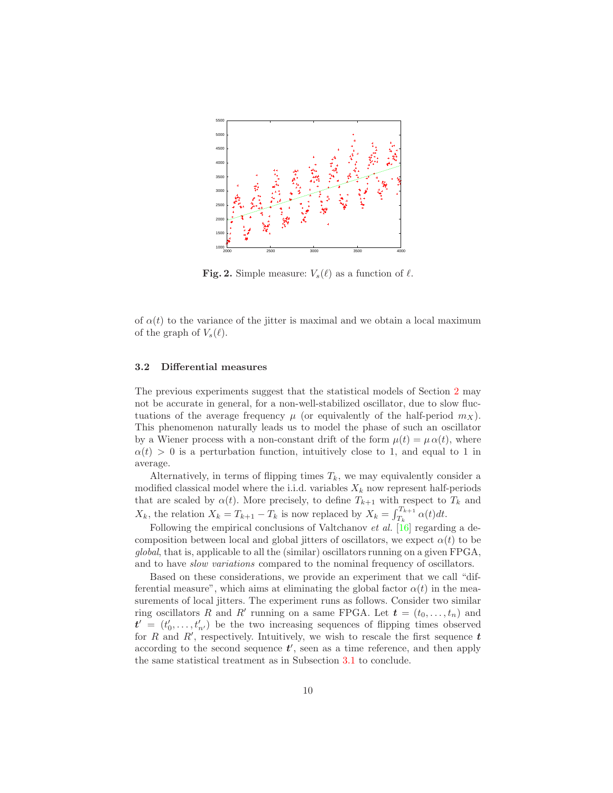

<span id="page-9-0"></span>Fig. 2. Simple measure:  $V_s(\ell)$  as a function of  $\ell$ .

of  $\alpha(t)$  to the variance of the jitter is maximal and we obtain a local maximum of the graph of  $V_s(\ell)$ .

#### <span id="page-9-1"></span>3.2 Differential measures

The previous experiments suggest that the statistical models of Section [2](#page-2-0) may not be accurate in general, for a non-well-stabilized oscillator, due to slow fluctuations of the average frequency  $\mu$  (or equivalently of the half-period  $m_X$ ). This phenomenon naturally leads us to model the phase of such an oscillator by a Wiener process with a non-constant drift of the form  $\mu(t) = \mu \alpha(t)$ , where  $\alpha(t) > 0$  is a perturbation function, intuitively close to 1, and equal to 1 in average.

Alternatively, in terms of flipping times  $T_k$ , we may equivalently consider a modified classical model where the i.i.d. variables  $X_k$  now represent half-periods that are scaled by  $\alpha(t)$ . More precisely, to define  $T_{k+1}$  with respect to  $T_k$  and  $X_k$ , the relation  $X_k = T_{k+1} - T_k$  is now replaced by  $X_k = \int_{T_k}^{T_{k+1}} \alpha(t) dt$ .

Following the empirical conclusions of Valtchanov *et al.* [\[16\]](#page-17-2) regarding a decomposition between local and global jitters of oscillators, we expect  $\alpha(t)$  to be global, that is, applicable to all the (similar) oscillators running on a given FPGA, and to have slow variations compared to the nominal frequency of oscillators.

Based on these considerations, we provide an experiment that we call "differential measure", which aims at eliminating the global factor  $\alpha(t)$  in the measurements of local jitters. The experiment runs as follows. Consider two similar ring oscillators R and R' running on a same FPGA. Let  $\boldsymbol{t} = (t_0, \ldots, t_n)$  and  $t' = (t'_0, \ldots, t'_{n'})$  be the two increasing sequences of flipping times observed for R and R', respectively. Intuitively, we wish to rescale the first sequence  $t$ according to the second sequence  $t'$ , seen as a time reference, and then apply the same statistical treatment as in Subsection [3.1](#page-7-1) to conclude.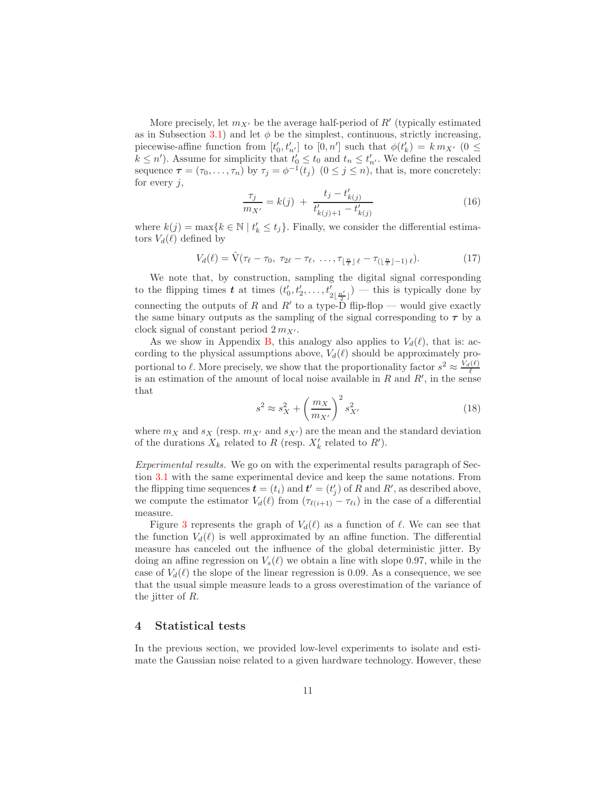More precisely, let  $m_{X'}$  be the average half-period of  $R'$  (typically estimated as in Subsection [3.1\)](#page-7-1) and let  $\phi$  be the simplest, continuous, strictly increasing, piecewise-affine function from  $[t'_0, t'_{n'}]$  to  $[0, n']$  such that  $\phi(t'_k) = k m_{X'}$   $(0 \leq$  $k \leq n'$ ). Assume for simplicity that  $t'_0 \leq t_0$  and  $t_n \leq t'_{n'}$ . We define the rescaled sequence  $\boldsymbol{\tau} = (\tau_0, \dots, \tau_n)$  by  $\tau_j = \phi^{-1}(t_j)$   $(0 \le j \le n)$ , that is, more concretely: for every  $j$ ,

$$
\frac{\tau_j}{m_{X'}} = k(j) + \frac{t_j - t'_{k(j)}}{t'_{k(j)+1} - t'_{k(j)}}\tag{16}
$$

where  $k(j) = \max\{k \in \mathbb{N} \mid t'_k \le t_j\}$ . Finally, we consider the differential estimators  $V_d(\ell)$  defined by

$$
V_d(\ell) = \hat{V}(\tau_\ell - \tau_0, \ \tau_{2\ell} - \tau_\ell, \ \dots, \tau_{\lfloor \frac{n}{\ell} \rfloor \ell} - \tau_{(\lfloor \frac{n}{\ell} \rfloor - 1)\ell}). \tag{17}
$$

We note that, by construction, sampling the digital signal corresponding to the flipping times  $t$  at times  $(t'_0, t'_2, \ldots, t'_{2\lfloor \frac{n'}{2} \rfloor})$  — this is typically done by connecting the outputs of R and R' to a type-D flip-flop — would give exactly the same binary outputs as the sampling of the signal corresponding to  $\tau$  by a clock signal of constant period  $2 m_{X'}$ .

As we show in Appendix [B,](#page-23-0) this analogy also applies to  $V_d(\ell)$ , that is: according to the physical assumptions above,  $V_d(\ell)$  should be approximately proportional to  $\ell$ . More precisely, we show that the proportionality factor  $s^2 \approx \frac{V_d(\ell)}{\ell}$ is an estimation of the amount of local noise available in  $R$  and  $R'$ , in the sense that

$$
s^2 \approx s_X^2 + \left(\frac{m_X}{m_{X'}}\right)^2 s_{X'}^2 \tag{18}
$$

where  $m_X$  and  $s_X$  (resp.  $m_{X'}$  and  $s_{X'}$ ) are the mean and the standard deviation of the durations  $X_k$  related to R (resp.  $X'_k$  related to R').

Experimental results. We go on with the experimental results paragraph of Section [3.1](#page-7-1) with the same experimental device and keep the same notations. From the flipping time sequences  $\boldsymbol{t} = (t_i)$  and  $\boldsymbol{t}' = (t'_j)$  of R and R', as described above, we compute the estimator  $V_d(\ell)$  from  $(\tau_{\ell(i+1)} - \tau_{\ell i})$  in the case of a differential measure.

Figure [3](#page-11-0) represents the graph of  $V_d(\ell)$  as a function of  $\ell$ . We can see that the function  $V_d(\ell)$  is well approximated by an affine function. The differential measure has canceled out the influence of the global deterministic jitter. By doing an affine regression on  $V_s(\ell)$  we obtain a line with slope 0.97, while in the case of  $V_d(\ell)$  the slope of the linear regression is 0.09. As a consequence, we see that the usual simple measure leads to a gross overestimation of the variance of the jitter of R.

## <span id="page-10-0"></span>4 Statistical tests

In the previous section, we provided low-level experiments to isolate and estimate the Gaussian noise related to a given hardware technology. However, these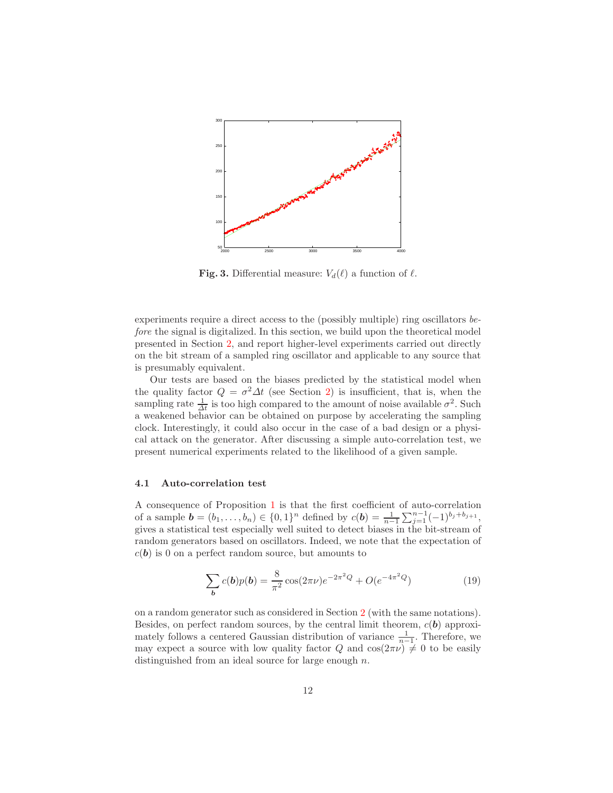

<span id="page-11-0"></span>Fig. 3. Differential measure:  $V_d(\ell)$  a function of  $\ell$ .

experiments require a direct access to the (possibly multiple) ring oscillators before the signal is digitalized. In this section, we build upon the theoretical model presented in Section [2,](#page-2-0) and report higher-level experiments carried out directly on the bit stream of a sampled ring oscillator and applicable to any source that is presumably equivalent.

Our tests are based on the biases predicted by the statistical model when the quality factor  $Q = \sigma^2 \Delta t$  (see Section [2\)](#page-2-0) is insufficient, that is, when the sampling rate  $\frac{1}{\Delta t}$  is too high compared to the amount of noise available  $\sigma^2$ . Such a weakened behavior can be obtained on purpose by accelerating the sampling clock. Interestingly, it could also occur in the case of a bad design or a physical attack on the generator. After discussing a simple auto-correlation test, we present numerical experiments related to the likelihood of a given sample.

#### 4.1 Auto-correlation test

A consequence of Proposition [1](#page-5-1) is that the first coefficient of auto-correlation of a sample  $\mathbf{b} = (b_1, \ldots, b_n) \in \{0, 1\}^n$  defined by  $c(\mathbf{b}) = \frac{1}{n-1} \sum_{j=1}^{n-1} (-1)^{b_j + b_{j+1}}$ gives a statistical test especially well suited to detect biases in the bit-stream of random generators based on oscillators. Indeed, we note that the expectation of  $c(\mathbf{b})$  is 0 on a perfect random source, but amounts to

$$
\sum_{\mathbf{b}} c(\mathbf{b}) p(\mathbf{b}) = \frac{8}{\pi^2} \cos(2\pi \nu) e^{-2\pi^2 Q} + O(e^{-4\pi^2 Q}) \tag{19}
$$

on a random generator such as considered in Section [2](#page-2-0) (with the same notations). Besides, on perfect random sources, by the central limit theorem,  $c(\boldsymbol{b})$  approximately follows a centered Gaussian distribution of variance  $\frac{1}{n-1}$ . Therefore, we may expect a source with low quality factor  $Q$  and  $cos(2\pi\nu) \neq 0$  to be easily distinguished from an ideal source for large enough n.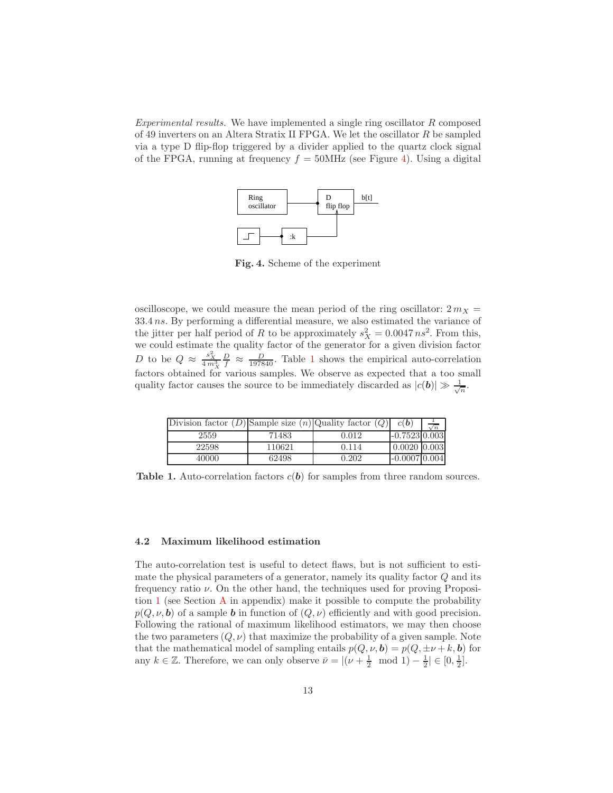Experimental results. We have implemented a single ring oscillator R composed of 49 inverters on an Altera Stratix II FPGA. We let the oscillator R be sampled via a type D flip-flop triggered by a divider applied to the quartz clock signal of the FPGA, running at frequency  $f = 50$ MHz (see Figure [4\)](#page-12-0). Using a digital



<span id="page-12-0"></span>Fig. 4. Scheme of the experiment

oscilloscope, we could measure the mean period of the ring oscillator:  $2 m<sub>X</sub>$  = 33.4 ns. By performing a differential measure, we also estimated the variance of the jitter per half period of R to be approximately  $s_X^2 = 0.0047 n s^2$ . From this, we could estimate the quality factor of the generator for a given division factor D to be  $Q \approx \frac{s_X^2}{4 m_X^3}$  $\frac{D}{f} \approx \frac{D}{197840}$  $\frac{D}{f} \approx \frac{D}{197840}$  $\frac{D}{f} \approx \frac{D}{197840}$ . Table 1 shows the empirical auto-correlation factors obtained for various samples. We observe as expected that a too small quality factor causes the source to be immediately discarded as  $|c(\mathbf{b})| \gg \frac{1}{\sqrt{n}}$ .

| Division factor $(D)$ Sample size $(n)$ Quality factor $(Q)$ |        |       | c(b)             |  |
|--------------------------------------------------------------|--------|-------|------------------|--|
| 2559                                                         | 71483  | 0.012 | $-0.7523 0.003 $ |  |
| 22598                                                        | 110621 | 0.114 | $0.0020$ $0.003$ |  |
| 40000                                                        | 62498  | 0.202 | $-0.000710.004$  |  |

<span id="page-12-1"></span>**Table 1.** Auto-correlation factors  $c(b)$  for samples from three random sources.

#### 4.2 Maximum likelihood estimation

The auto-correlation test is useful to detect flaws, but is not sufficient to estimate the physical parameters of a generator, namely its quality factor  $Q$  and its frequency ratio  $\nu$ . On the other hand, the techniques used for proving Proposition  $1$  (see Section [A](#page-17-3) in appendix) make it possible to compute the probability  $p(Q, \nu, b)$  of a sample b in function of  $(Q, \nu)$  efficiently and with good precision. Following the rational of maximum likelihood estimators, we may then choose the two parameters  $(Q, \nu)$  that maximize the probability of a given sample. Note that the mathematical model of sampling entails  $p(Q, \nu, b) = p(Q, \pm \nu + k, b)$  for any  $k \in \mathbb{Z}$ . Therefore, we can only observe  $\bar{\nu} = |(\nu + \frac{1}{2} \mod 1) - \frac{1}{2}| \in [0, \frac{1}{2}]$ .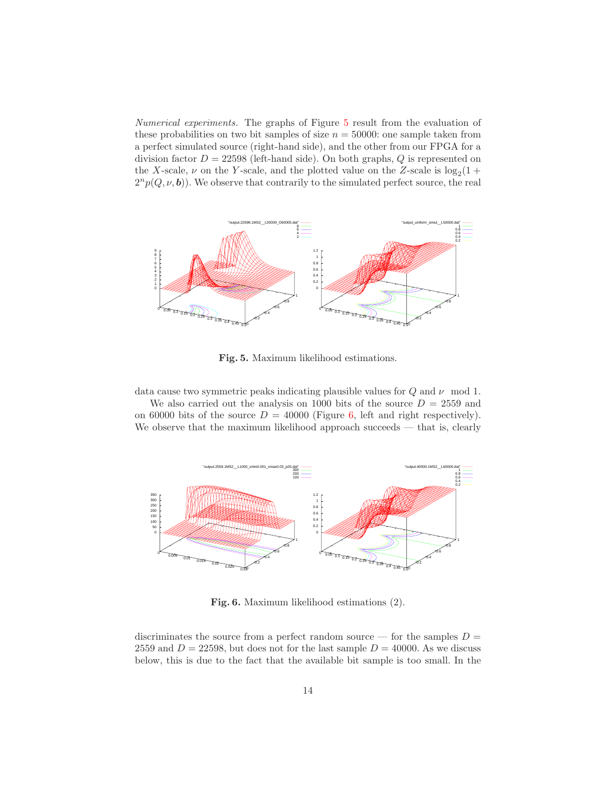Numerical experiments. The graphs of Figure [5](#page-13-0) result from the evaluation of these probabilities on two bit samples of size  $n = 50000$ : one sample taken from a perfect simulated source (right-hand side), and the other from our FPGA for a division factor  $D = 22598$  (left-hand side). On both graphs, Q is represented on the X-scale,  $\nu$  on the Y-scale, and the plotted value on the Z-scale is  $\log_2(1 +$  $2^{n}p(Q, \nu, b)$ . We observe that contrarily to the simulated perfect source, the real



<span id="page-13-0"></span>Fig. 5. Maximum likelihood estimations.

data cause two symmetric peaks indicating plausible values for  $Q$  and  $\nu$  mod 1.

We also carried out the analysis on 1000 bits of the source  $D = 2559$  and on 60000 bits of the source  $D = 40000$  (Figure [6,](#page-13-1) left and right respectively). We observe that the maximum likelihood approach succeeds — that is, clearly



<span id="page-13-1"></span>Fig. 6. Maximum likelihood estimations (2).

discriminates the source from a perfect random source — for the samples  $D =$ 2559 and  $D = 22598$ , but does not for the last sample  $D = 40000$ . As we discuss below, this is due to the fact that the available bit sample is too small. In the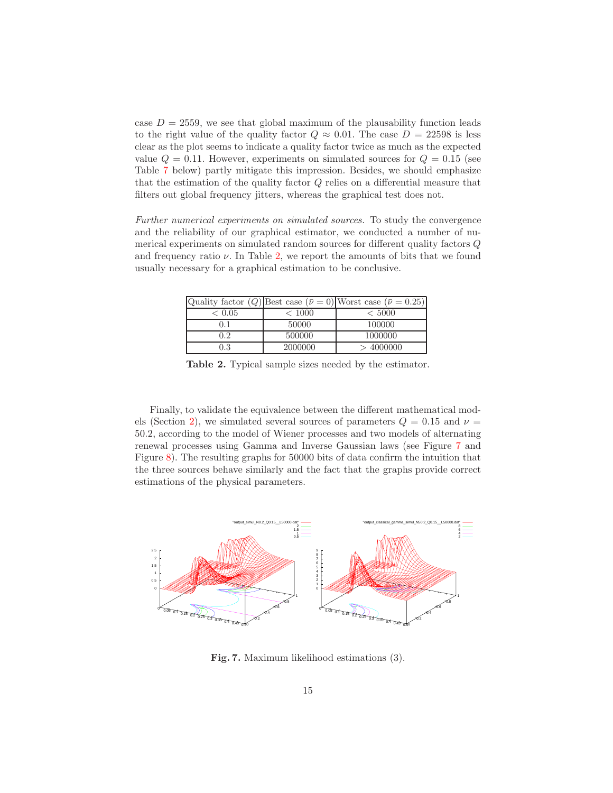case  $D = 2559$ , we see that global maximum of the plausability function leads to the right value of the quality factor  $Q \approx 0.01$ . The case  $D = 22598$  is less clear as the plot seems to indicate a quality factor twice as much as the expected value  $Q = 0.11$ . However, experiments on simulated sources for  $Q = 0.15$  (see Table [7](#page-14-0) below) partly mitigate this impression. Besides, we should emphasize that the estimation of the quality factor Q relies on a differential measure that filters out global frequency jitters, whereas the graphical test does not.

Further numerical experiments on simulated sources. To study the convergence and the reliability of our graphical estimator, we conducted a number of numerical experiments on simulated random sources for different quality factors Q and frequency ratio  $\nu$ . In Table [2,](#page-14-1) we report the amounts of bits that we found usually necessary for a graphical estimation to be conclusive.

|            |         | Quality factor (Q) Best case $(\bar{\nu} = 0)$ Worst case $(\bar{\nu} = 0.25)$ |
|------------|---------|--------------------------------------------------------------------------------|
| ${}< 0.05$ | < 1000  | ${}< 5000$                                                                     |
| 0.1        | 50000   | 100000                                                                         |
| 0.2        | 500000  | 1000000                                                                        |
| 0.3        | 2000000 | $>$ 4000000                                                                    |

<span id="page-14-1"></span>Table 2. Typical sample sizes needed by the estimator.

Finally, to validate the equivalence between the different mathematical mod-els (Section [2\)](#page-2-0), we simulated several sources of parameters  $Q = 0.15$  and  $\nu =$ 50.2, according to the model of Wiener processes and two models of alternating renewal processes using Gamma and Inverse Gaussian laws (see Figure [7](#page-14-0) and Figure [8\)](#page-15-0). The resulting graphs for 50000 bits of data confirm the intuition that the three sources behave similarly and the fact that the graphs provide correct estimations of the physical parameters.



<span id="page-14-0"></span>Fig. 7. Maximum likelihood estimations (3).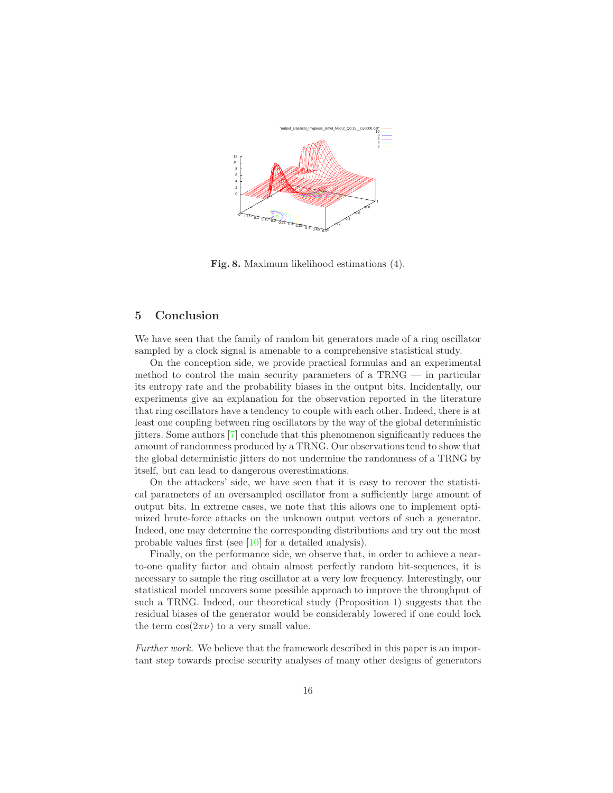

<span id="page-15-0"></span>Fig. 8. Maximum likelihood estimations (4).

## 5 Conclusion

We have seen that the family of random bit generators made of a ring oscillator sampled by a clock signal is amenable to a comprehensive statistical study.

On the conception side, we provide practical formulas and an experimental method to control the main security parameters of a  $TRNG -$  in particular its entropy rate and the probability biases in the output bits. Incidentally, our experiments give an explanation for the observation reported in the literature that ring oscillators have a tendency to couple with each other. Indeed, there is at least one coupling between ring oscillators by the way of the global deterministic jitters. Some authors [\[7\]](#page-16-9) conclude that this phenomenon significantly reduces the amount of randomness produced by a TRNG. Our observations tend to show that the global deterministic jitters do not undermine the randomness of a TRNG by itself, but can lead to dangerous overestimations.

On the attackers' side, we have seen that it is easy to recover the statistical parameters of an oversampled oscillator from a sufficiently large amount of output bits. In extreme cases, we note that this allows one to implement optimized brute-force attacks on the unknown output vectors of such a generator. Indeed, one may determine the corresponding distributions and try out the most probable values first (see [\[10\]](#page-16-10) for a detailed analysis).

Finally, on the performance side, we observe that, in order to achieve a nearto-one quality factor and obtain almost perfectly random bit-sequences, it is necessary to sample the ring oscillator at a very low frequency. Interestingly, our statistical model uncovers some possible approach to improve the throughput of such a TRNG. Indeed, our theoretical study (Proposition [1\)](#page-5-1) suggests that the residual biases of the generator would be considerably lowered if one could lock the term  $\cos(2\pi\nu)$  to a very small value.

Further work. We believe that the framework described in this paper is an important step towards precise security analyses of many other designs of generators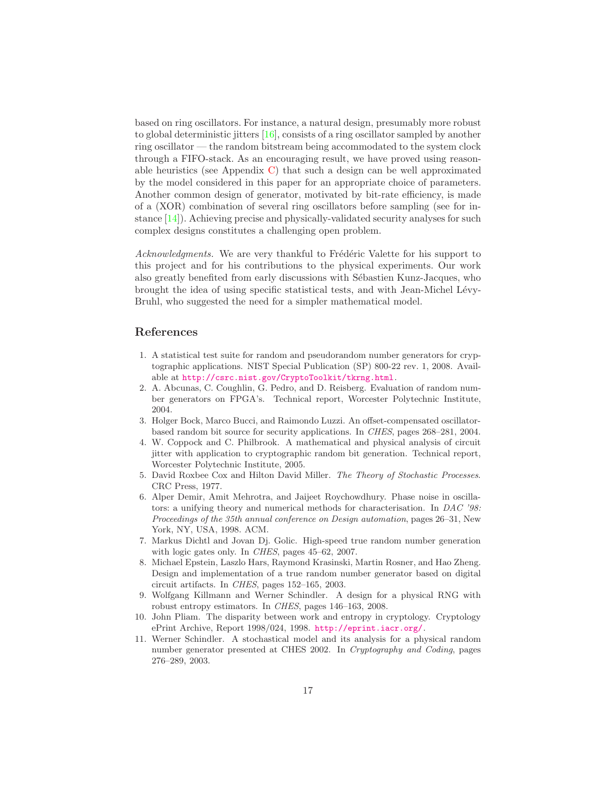based on ring oscillators. For instance, a natural design, presumably more robust to global deterministic jitters [\[16\]](#page-17-2), consists of a ring oscillator sampled by another ring oscillator — the random bitstream being accommodated to the system clock through a FIFO-stack. As an encouraging result, we have proved using reasonable heuristics (see Appendix [C\)](#page-25-0) that such a design can be well approximated by the model considered in this paper for an appropriate choice of parameters. Another common design of generator, motivated by bit-rate efficiency, is made of a (XOR) combination of several ring oscillators before sampling (see for instance [\[14\]](#page-17-1)). Achieving precise and physically-validated security analyses for such complex designs constitutes a challenging open problem.

Acknowledgments. We are very thankful to Frédéric Valette for his support to this project and for his contributions to the physical experiments. Our work also greatly benefited from early discussions with Sébastien Kunz-Jacques, who brought the idea of using specific statistical tests, and with Jean-Michel Lévy-Bruhl, who suggested the need for a simpler mathematical model.

## <span id="page-16-7"></span>References

- 1. A statistical test suite for random and pseudorandom number generators for cryptographic applications. NIST Special Publication (SP) 800-22 rev. 1, 2008. Available at <http://csrc.nist.gov/CryptoToolkit/tkrng.html>.
- <span id="page-16-5"></span>2. A. Abcunas, C. Coughlin, G. Pedro, and D. Reisberg. Evaluation of random number generators on FPGA's. Technical report, Worcester Polytechnic Institute, 2004.
- <span id="page-16-1"></span>3. Holger Bock, Marco Bucci, and Raimondo Luzzi. An offset-compensated oscillatorbased random bit source for security applications. In CHES, pages 268–281, 2004.
- <span id="page-16-4"></span>4. W. Coppock and C. Philbrook. A mathematical and physical analysis of circuit jitter with application to cryptographic random bit generation. Technical report, Worcester Polytechnic Institute, 2005.
- <span id="page-16-8"></span>5. David Roxbee Cox and Hilton David Miller. The Theory of Stochastic Processes. CRC Press, 1977.
- <span id="page-16-6"></span>6. Alper Demir, Amit Mehrotra, and Jaijeet Roychowdhury. Phase noise in oscillators: a unifying theory and numerical methods for characterisation. In DAC '98: Proceedings of the 35th annual conference on Design automation, pages 26–31, New York, NY, USA, 1998. ACM.
- <span id="page-16-9"></span>7. Markus Dichtl and Jovan Dj. Golic. High-speed true random number generation with logic gates only. In *CHES*, pages 45–62, 2007.
- <span id="page-16-0"></span>8. Michael Epstein, Laszlo Hars, Raymond Krasinski, Martin Rosner, and Hao Zheng. Design and implementation of a true random number generator based on digital circuit artifacts. In CHES, pages 152–165, 2003.
- <span id="page-16-3"></span>9. Wolfgang Killmann and Werner Schindler. A design for a physical RNG with robust entropy estimators. In CHES, pages 146–163, 2008.
- <span id="page-16-10"></span><span id="page-16-2"></span>10. John Pliam. The disparity between work and entropy in cryptology. Cryptology ePrint Archive, Report 1998/024, 1998. <http://eprint.iacr.org/>.
- 11. Werner Schindler. A stochastical model and its analysis for a physical random number generator presented at CHES 2002. In Cryptography and Coding, pages 276–289, 2003.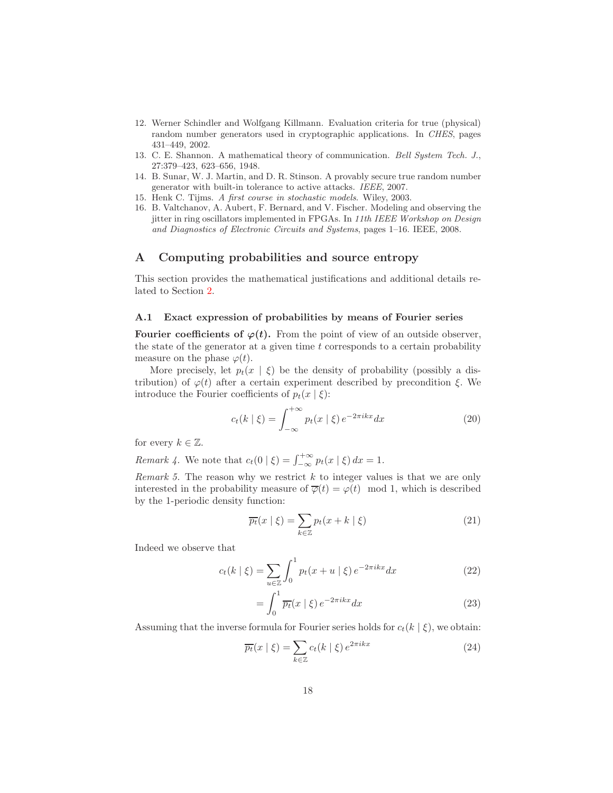- <span id="page-17-0"></span>12. Werner Schindler and Wolfgang Killmann. Evaluation criteria for true (physical) random number generators used in cryptographic applications. In CHES, pages 431–449, 2002.
- <span id="page-17-5"></span><span id="page-17-1"></span>13. C. E. Shannon. A mathematical theory of communication. Bell System Tech. J., 27:379–423, 623–656, 1948.
- <span id="page-17-4"></span>14. B. Sunar, W. J. Martin, and D. R. Stinson. A provably secure true random number generator with built-in tolerance to active attacks. IEEE, 2007.
- <span id="page-17-2"></span>15. Henk C. Tijms. A first course in stochastic models. Wiley, 2003.
- 16. B. Valtchanov, A. Aubert, F. Bernard, and V. Fischer. Modeling and observing the jitter in ring oscillators implemented in FPGAs. In 11th IEEE Workshop on Design and Diagnostics of Electronic Circuits and Systems, pages 1–16. IEEE, 2008.

## <span id="page-17-3"></span>A Computing probabilities and source entropy

This section provides the mathematical justifications and additional details related to Section [2.](#page-2-0)

#### A.1 Exact expression of probabilities by means of Fourier series

Fourier coefficients of  $\varphi(t)$ . From the point of view of an outside observer, the state of the generator at a given time  $t$  corresponds to a certain probability measure on the phase  $\varphi(t)$ .

More precisely, let  $p_t(x \mid \xi)$  be the density of probability (possibly a distribution) of  $\varphi(t)$  after a certain experiment described by precondition  $\xi$ . We introduce the Fourier coefficients of  $p_t(x \mid \xi)$ :

$$
c_t(k \mid \xi) = \int_{-\infty}^{+\infty} p_t(x \mid \xi) e^{-2\pi i kx} dx \tag{20}
$$

for every  $k \in \mathbb{Z}$ .

Remark 4. We note that  $c_t(0 | \xi) = \int_{-\infty}^{+\infty} p_t(x | \xi) dx = 1$ .

Remark 5. The reason why we restrict  $k$  to integer values is that we are only interested in the probability measure of  $\overline{\varphi}(t) = \varphi(t) \mod 1$ , which is described by the 1-periodic density function:

$$
\overline{p_t}(x \mid \xi) = \sum_{k \in \mathbb{Z}} p_t(x + k \mid \xi)
$$
\n(21)

Indeed we observe that

$$
c_t(k \mid \xi) = \sum_{u \in \mathbb{Z}} \int_0^1 p_t(x + u \mid \xi) e^{-2\pi i kx} dx \tag{22}
$$

$$
= \int_0^1 \overline{p_t}(x \mid \xi) e^{-2\pi i kx} dx \tag{23}
$$

Assuming that the inverse formula for Fourier series holds for  $c_t(k \mid \xi)$ , we obtain:

$$
\overline{p_t}(x \mid \xi) = \sum_{k \in \mathbb{Z}} c_t(k \mid \xi) e^{2\pi i k x} \tag{24}
$$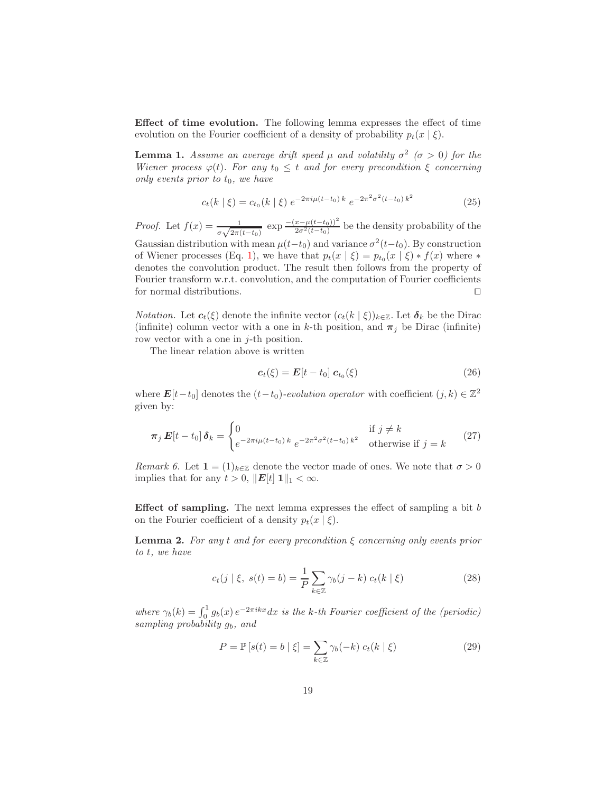<span id="page-18-1"></span>Effect of time evolution. The following lemma expresses the effect of time evolution on the Fourier coefficient of a density of probability  $p_t(x \mid \xi)$ .

**Lemma 1.** Assume an average drift speed  $\mu$  and volatility  $\sigma^2$  ( $\sigma > 0$ ) for the Wiener process  $\varphi(t)$ . For any  $t_0 \leq t$  and for every precondition  $\xi$  concerning only events prior to  $t_0$ , we have

$$
c_t(k \mid \xi) = c_{t_0}(k \mid \xi) e^{-2\pi i \mu (t - t_0) k} e^{-2\pi^2 \sigma^2 (t - t_0) k^2}
$$
 (25)

*Proof.* Let  $f(x) = \frac{1}{\sigma \sqrt{2\pi (t-t_0)}} \exp \frac{-(x-\mu(t-t_0))^2}{2\sigma^2 (t-t_0)}$  $\frac{x-\mu(t-t_0)}{2\sigma^2(t-t_0)}$  be the density probability of the Gaussian distribution with mean  $\mu(t-t_0)$  and variance  $\sigma^2(t-t_0)$ . By construction of Wiener processes (Eq. [1\)](#page-3-0), we have that  $p_t(x \mid \xi) = p_{t_0}(x \mid \xi) * f(x)$  where  $*$ denotes the convolution product. The result then follows from the property of Fourier transform w.r.t. convolution, and the computation of Fourier coefficients for normal distributions. ⊓⊔

*Notation.* Let  $c_t(\xi)$  denote the infinite vector  $(c_t(k \mid \xi))_{k\in\mathbb{Z}}$ . Let  $\delta_k$  be the Dirac (infinite) column vector with a one in k-th position, and  $\pi_i$  be Dirac (infinite) row vector with a one in  $j$ -th position.

The linear relation above is written

$$
\boldsymbol{c}_t(\xi) = \boldsymbol{E}[t - t_0] \; \boldsymbol{c}_{t_0}(\xi) \tag{26}
$$

where  $E[t-t_0]$  denotes the  $(t-t_0)$ -evolution operator with coefficient  $(j, k) \in \mathbb{Z}^2$ given by:

$$
\pi_j \mathbf{E}[t - t_0] \delta_k = \begin{cases} 0 & \text{if } j \neq k \\ e^{-2\pi i \mu (t - t_0) k} e^{-2\pi^2 \sigma^2 (t - t_0) k^2} & \text{otherwise if } j = k \end{cases}
$$
 (27)

Remark 6. Let  $\mathbf{1} = (1)_{k \in \mathbb{Z}}$  denote the vector made of ones. We note that  $\sigma > 0$ implies that for any  $t > 0$ ,  $||E[t] 1||_1 < \infty$ .

<span id="page-18-0"></span>**Effect of sampling.** The next lemma expresses the effect of sampling a bit  $b$ on the Fourier coefficient of a density  $p_t(x \mid \xi)$ .

**Lemma 2.** For any t and for every precondition  $\xi$  concerning only events prior to t, we have

$$
c_t(j | \xi, s(t) = b) = \frac{1}{P} \sum_{k \in \mathbb{Z}} \gamma_b(j - k) \ c_t(k | \xi)
$$
 (28)

where  $\gamma_b(k) = \int_0^1 g_b(x) e^{-2\pi i kx} dx$  is the k-th Fourier coefficient of the (periodic) sampling probability  $g_b$ , and

$$
P = \mathbb{P}\left[s(t) = b \mid \xi\right] = \sum_{k \in \mathbb{Z}} \gamma_b(-k) \ c_t(k \mid \xi) \tag{29}
$$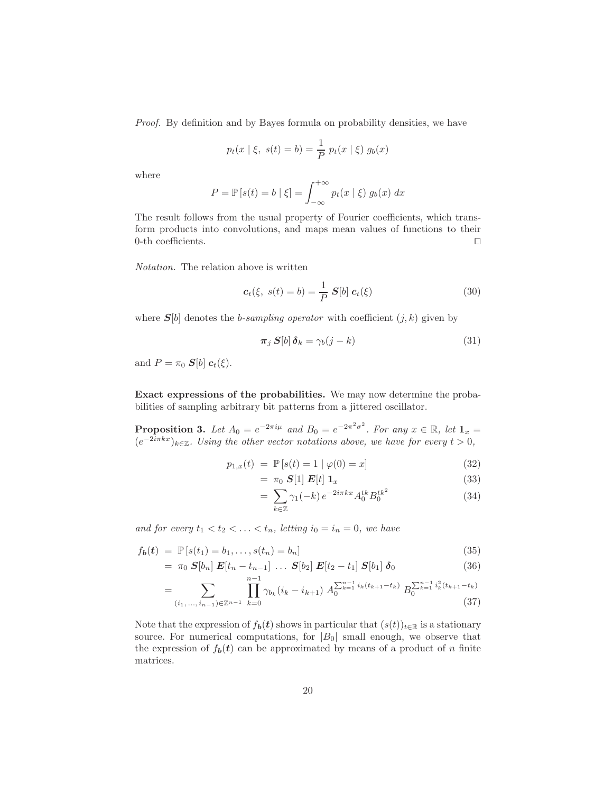Proof. By definition and by Bayes formula on probability densities, we have

$$
p_t(x | \xi, s(t) = b) = \frac{1}{P} p_t(x | \xi) g_b(x)
$$

where

$$
P = \mathbb{P}\left[s(t) = b \mid \xi\right] = \int_{-\infty}^{+\infty} p_t(x \mid \xi) g_b(x) dx
$$

The result follows from the usual property of Fourier coefficients, which transform products into convolutions, and maps mean values of functions to their 0-th coefficients. ⊓⊔

Notation. The relation above is written

$$
c_t(\xi, s(t) = b) = \frac{1}{P} S[b] c_t(\xi)
$$
\n(30)

where  $S[b]$  denotes the *b*-sampling operator with coefficient  $(j, k)$  given by

$$
\pi_j S[b] \, \delta_k = \gamma_b (j - k) \tag{31}
$$

and  $P = \pi_0 S[b] c_t(\xi)$ .

<span id="page-19-0"></span>Exact expressions of the probabilities. We may now determine the probabilities of sampling arbitrary bit patterns from a jittered oscillator.

**Proposition 3.** Let  $A_0 = e^{-2\pi i \mu}$  and  $B_0 = e^{-2\pi^2 \sigma^2}$ . For any  $x \in \mathbb{R}$ , let  $\mathbf{1}_x =$  $(e^{-2i\pi kx})_{k\in\mathbb{Z}}$ . Using the other vector notations above, we have for every  $t>0$ ,

$$
p_{1,x}(t) = \mathbb{P}[s(t) = 1 | \varphi(0) = x]
$$
\n(32)

$$
= \pi_0 \mathbf{S}[1] \mathbf{E}[t] \mathbf{1}_x \tag{33}
$$

$$
= \sum_{k \in \mathbb{Z}} \gamma_1(-k) e^{-2i\pi kx} A_0^{tk} B_0^{tk^2}
$$
 (34)

and for every  $t_1 < t_2 < \ldots < t_n$ , letting  $i_0 = i_n = 0$ , we have

$$
f_{\mathbf{b}}(\mathbf{t}) = \mathbb{P}[s(t_1) = b_1, \dots, s(t_n) = b_n]
$$
\n(35)

$$
= \pi_0 \ S[b_n] \ E[t_n - t_{n-1}] \ \dots \ S[b_2] \ E[t_2 - t_1] \ S[b_1] \ \delta_0 \tag{36}
$$

$$
= \sum_{(i_1,\ldots,i_{n-1})\in\mathbb{Z}^{n-1}} \prod_{k=0}^{n-1} \gamma_{b_k}(i_k - i_{k+1}) A_0^{\sum_{k=1}^{n-1} i_k(t_{k+1} - t_k)} B_0^{\sum_{k=1}^{n-1} i_k^2(t_{k+1} - t_k)}
$$
(37)

Note that the expression of  $f_b(t)$  shows in particular that  $(s(t))_{t\in\mathbb{R}}$  is a stationary source. For numerical computations, for  $|B_0|$  small enough, we observe that the expression of  $f_b(t)$  can be approximated by means of a product of n finite matrices.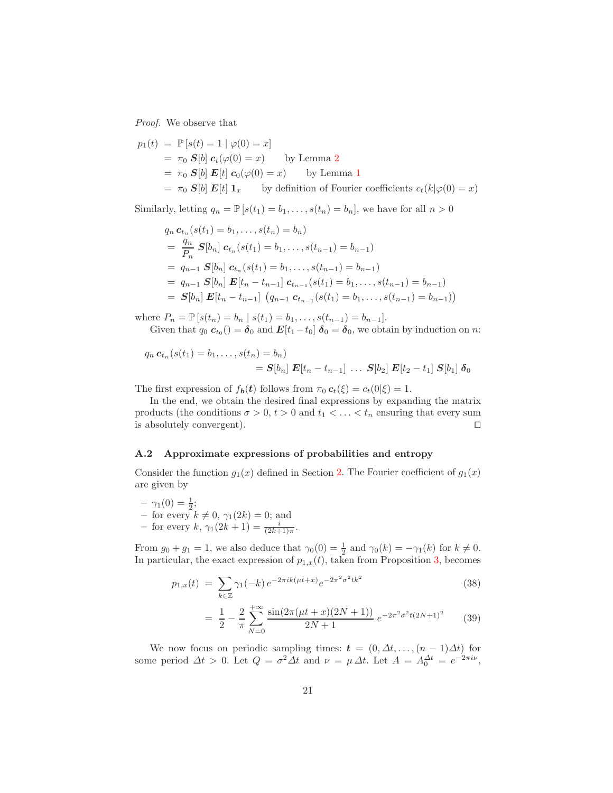Proof. We observe that

$$
p_1(t) = \mathbb{P}[s(t) = 1 | \varphi(0) = x]
$$
  
=  $\pi_0$   $S[b] \mathbf{c}_t(\varphi(0) = x)$  by Lemma 2  
=  $\pi_0$   $S[b] \mathbf{E}[t] \mathbf{c}_0(\varphi(0) = x)$  by Lemma 1  
=  $\pi_0$   $S[b] \mathbf{E}[t] \mathbf{1}_x$  by definition of Fourier coefficients  $c_t(k|\varphi(0) = x)$ 

Similarly, letting  $q_n = \mathbb{P}[s(t_1) = b_1, \ldots, s(t_n) = b_n]$ , we have for all  $n > 0$ 

$$
q_n c_{t_n}(s(t_1) = b_1, \dots, s(t_n) = b_n)
$$
  
=  $\frac{q_n}{P_n} S[b_n] c_{t_n}(s(t_1) = b_1, \dots, s(t_{n-1}) = b_{n-1})$   
=  $q_{n-1} S[b_n] c_{t_n}(s(t_1) = b_1, \dots, s(t_{n-1}) = b_{n-1})$   
=  $q_{n-1} S[b_n] E[t_n - t_{n-1}] c_{t_{n-1}}(s(t_1) = b_1, \dots, s(t_{n-1}) = b_{n-1})$   
=  $S[b_n] E[t_n - t_{n-1}] (q_{n-1} c_{t_{n-1}}(s(t_1) = b_1, \dots, s(t_{n-1}) = b_{n-1}))$ 

where  $P_n = \mathbb{P}[s(t_n) = b_n | s(t_1) = b_1, \ldots, s(t_{n-1}) = b_{n-1}].$ Given that  $q_0 \mathbf{c}_{t_0}() = \boldsymbol{\delta}_0$  and  $\boldsymbol{E}[t_1 - t_0] \ \boldsymbol{\delta}_0 = \boldsymbol{\delta}_0$ , we obtain by induction on n:

$$
q_n c_{t_n}(s(t_1) = b_1, \ldots, s(t_n) = b_n)
$$
  
=  $S[b_n]$   $E[t_n - t_{n-1}] \ldots S[b_2]$   $E[t_2 - t_1]$   $S[b_1]$   $\delta_0$ 

The first expression of  $f_{b}(t)$  follows from  $\pi_0 c_t(\xi) = c_t(0|\xi) = 1$ .

In the end, we obtain the desired final expressions by expanding the matrix products (the conditions  $\sigma > 0$ ,  $t > 0$  and  $t_1 < \ldots < t_n$  ensuring that every sum is absolutely convergent). ⊓⊔

#### <span id="page-20-1"></span>A.2 Approximate expressions of probabilities and entropy

Consider the function  $g_1(x)$  defined in Section [2.](#page-2-0) The Fourier coefficient of  $g_1(x)$ are given by

- $\gamma_1(0) = \frac{1}{2};$
- for every  $k \neq 0, \gamma_1(2k) = 0$ ; and
- for every  $k, \gamma_1(2k+1) = \frac{i}{(2k+1)\pi}$ .

π

<span id="page-20-0"></span>From  $g_0 + g_1 = 1$ , we also deduce that  $\gamma_0(0) = \frac{1}{2}$  and  $\gamma_0(k) = -\gamma_1(k)$  for  $k \neq 0$ . In particular, the exact expression of  $p_{1,x}(t)$ , taken from Proposition [3,](#page-19-0) becomes

$$
p_{1,x}(t) = \sum_{k \in \mathbb{Z}} \gamma_1(-k) e^{-2\pi i k(\mu t + x)} e^{-2\pi^2 \sigma^2 t k^2}
$$
(38)  

$$
= \frac{1}{2} - \frac{2}{\pi} \sum_{N=0}^{+\infty} \frac{\sin(2\pi(\mu t + x)(2N + 1))}{2N + 1} e^{-2\pi^2 \sigma^2 t (2N + 1)^2}
$$
(39)

 $N=0$ We now focus on periodic sampling times:  $\mathbf{t} = (0, \Delta t, \dots, (n-1)\Delta t)$  for some period  $\Delta t > 0$ . Let  $Q = \sigma^2 \Delta t$  and  $\nu = \mu \Delta t$ . Let  $A = A_0^{\Delta t} = e^{-2\pi i \nu}$ ,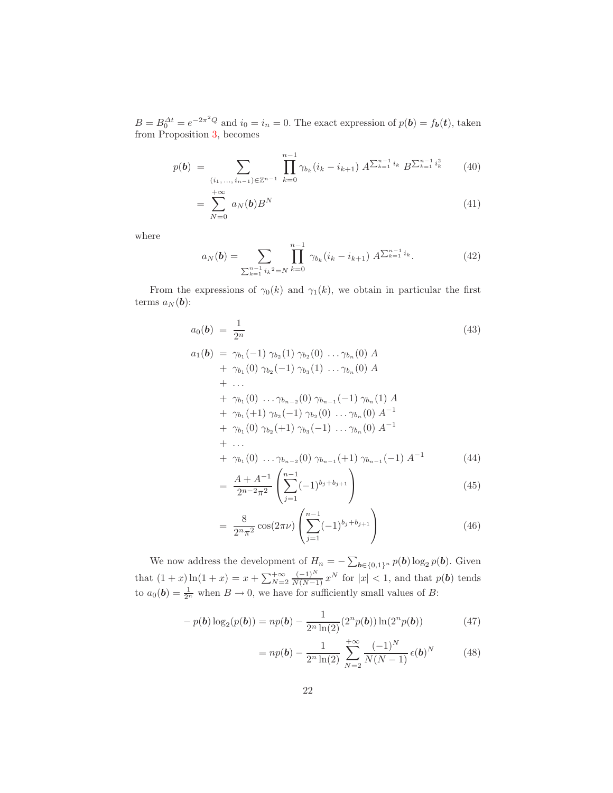$B = B_0^{\Delta t} = e^{-2\pi^2 Q}$  and  $i_0 = i_n = 0$ . The exact expression of  $p(\mathbf{b}) = f_{\mathbf{b}}(\mathbf{t})$ , taken from Proposition [3,](#page-19-0) becomes

$$
p(\mathbf{b}) = \sum_{\substack{(i_1,\ldots,i_{n-1}) \in \mathbb{Z}^{n-1} \\ \pm \infty}} \prod_{k=0}^{n-1} \gamma_{b_k} (i_k - i_{k+1}) A^{\sum_{k=1}^{n-1} i_k} B^{\sum_{k=1}^{n-1} i_k^2}
$$
 (40)

$$
=\sum_{N=0}^{+\infty} a_N(b)B^N \tag{41}
$$

<span id="page-21-0"></span>where

$$
a_N(\boldsymbol{b}) = \sum_{\sum_{k=1}^{n-1} i_k^2 = N} \prod_{k=0}^{n-1} \gamma_{b_k} (i_k - i_{k+1}) A^{\sum_{k=1}^{n-1} i_k}.
$$
 (42)

From the expressions of  $\gamma_0(k)$  and  $\gamma_1(k)$ , we obtain in particular the first terms  $a_N(b)$ :

$$
a_0(b) = \frac{1}{2^n}
$$
\n
$$
a_1(b) = \gamma_{b_1}(-1) \gamma_{b_2}(1) \gamma_{b_2}(0) \dots \gamma_{b_n}(0) A
$$
\n
$$
+ \gamma_{b_1}(0) \gamma_{b_2}(-1) \gamma_{b_3}(1) \dots \gamma_{b_n}(0) A
$$
\n
$$
+ \dots
$$
\n
$$
+ \gamma_{b_1}(0) \dots \gamma_{b_{n-2}}(0) \gamma_{b_{n-1}}(-1) \gamma_{b_n}(1) A
$$
\n
$$
+ \gamma_{b_1}(+1) \gamma_{b_2}(-1) \gamma_{b_2}(0) \dots \gamma_{b_n}(0) A^{-1}
$$
\n
$$
+ \gamma_{b_1}(0) \gamma_{b_2}(+1) \gamma_{b_3}(-1) \dots \gamma_{b_n}(0) A^{-1}
$$
\n
$$
+ \dots
$$
\n
$$
+ \gamma_{b_1}(0) \dots \gamma_{b_{n-2}}(0) \gamma_{b_{n-1}}(+1) \gamma_{b_{n-1}}(-1) A^{-1}
$$
\n
$$
+ \gamma_{b_1}(1) \dots \gamma_{b_{n-2}}(0) \gamma_{b_{n-1}}(+1) \gamma_{b_{n-1}}(-1) A^{-1}
$$
\n(44)

$$
= \frac{A + A^{-1}}{2^{n-2}\pi^2} \left( \sum_{j=1}^{n-1} (-1)^{b_j + b_{j+1}} \right) \tag{45}
$$

$$
= \frac{8}{2^n \pi^2} \cos(2\pi\nu) \left( \sum_{j=1}^{n-1} (-1)^{b_j + b_{j+1}} \right)
$$
 (46)

We now address the development of  $H_n = -\sum_{\boldsymbol{b} \in \{0,1\}^n} p(\boldsymbol{b}) \log_2 p(\boldsymbol{b})$ . Given that  $(1+x)\ln(1+x) = x + \sum_{N=2}^{+\infty} \frac{(-1)^N}{N(N-1)} x^N$  for  $|x| < 1$ , and that  $p(b)$  tends to  $a_0(b) = \frac{1}{2^n}$  when  $B \to 0$ , we have for sufficiently small values of B:

$$
-p(b)\log_2(p(b)) = np(b) - \frac{1}{2^n \ln(2)} (2^n p(b)) \ln(2^n p(b))
$$
 (47)

$$
= np(\mathbf{b}) - \frac{1}{2^n \ln(2)} \sum_{N=2}^{+\infty} \frac{(-1)^N}{N(N-1)} \epsilon(\mathbf{b})^N
$$
 (48)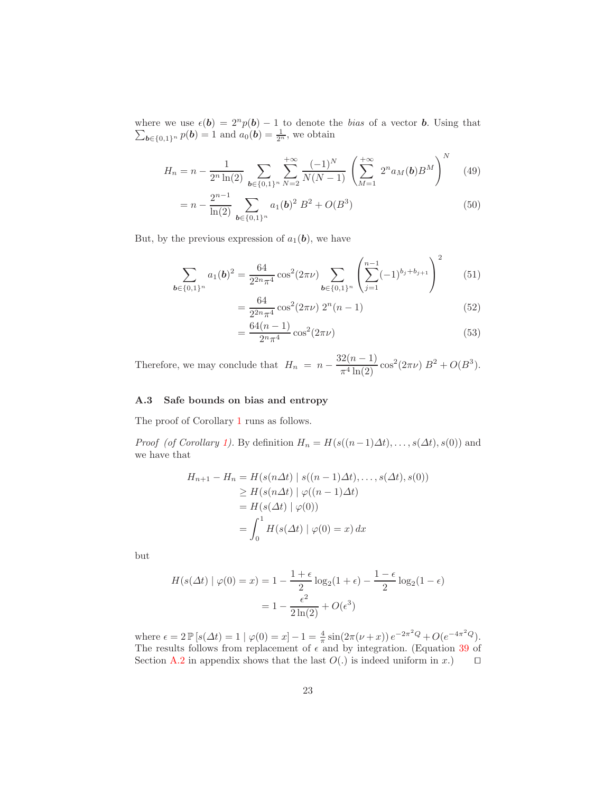where we use  $\epsilon(\mathbf{b}) = 2^n p(\mathbf{b}) - 1$  to denote the *bias* of a vector **b**. Using that  $\sum_{b \in \{0,1\}^n} p(b) = 1$  and  $a_0(b) = \frac{1}{2^n}$ , we obtain

$$
H_n = n - \frac{1}{2^n \ln(2)} \sum_{\mathbf{b} \in \{0,1\}^n} \sum_{N=2}^{+\infty} \frac{(-1)^N}{N(N-1)} \left( \sum_{M=1}^{+\infty} 2^n a_M(\mathbf{b}) B^M \right)^N \tag{49}
$$

$$
= n - \frac{2^{n-1}}{\ln(2)} \sum_{b \in \{0,1\}^n} a_1(b)^2 B^2 + O(B^3)
$$
 (50)

But, by the previous expression of  $a_1(b)$ , we have

$$
\sum_{b \in \{0,1\}^n} a_1(b)^2 = \frac{64}{2^{2n}\pi^4} \cos^2(2\pi\nu) \sum_{b \in \{0,1\}^n} \left( \sum_{j=1}^{n-1} (-1)^{b_j + b_{j+1}} \right)^2 \tag{51}
$$

$$
=\frac{64}{2^{2n}\pi^4}\cos^2(2\pi\nu)\ 2^n(n-1)\tag{52}
$$

$$
=\frac{64(n-1)}{2^n \pi^4} \cos^2(2\pi\nu)
$$
\n(53)

Therefore, we may conclude that  $H_n = n - \frac{32(n-1)}{\pi^4 \ln(2)}$  $\frac{\mu_2(n-1)}{\pi^4 \ln(2)} \cos^2(2\pi\nu) B^2 + O(B^3).$ 

## A.3 Safe bounds on bias and entropy

The proof of Corollary [1](#page-6-1) runs as follows.

*Proof (of Corollary [1\)](#page-6-1).* By definition  $H_n = H(s((n-1)\Delta t), \ldots, s(\Delta t), s(0))$  and we have that

$$
H_{n+1} - H_n = H(s(n\Delta t) \mid s((n-1)\Delta t), \dots, s(\Delta t), s(0))
$$
  
\n
$$
\geq H(s(n\Delta t) \mid \varphi((n-1)\Delta t)
$$
  
\n
$$
= H(s(\Delta t) \mid \varphi(0))
$$
  
\n
$$
= \int_0^1 H(s(\Delta t) \mid \varphi(0) = x) dx
$$

but

$$
H(s(\Delta t) | \varphi(0) = x) = 1 - \frac{1 + \epsilon}{2} \log_2(1 + \epsilon) - \frac{1 - \epsilon}{2} \log_2(1 - \epsilon)
$$

$$
= 1 - \frac{\epsilon^2}{2\ln(2)} + O(\epsilon^3)
$$

where  $\epsilon = 2 \mathbb{P}[s(\Delta t) = 1 | \varphi(0) = x] - 1 = \frac{4}{\pi} \sin(2\pi(\nu + x)) e^{-2\pi^2 Q} + O(e^{-4\pi^2 Q}).$ The results follows from replacement of  $\epsilon$  and by integration. (Equation [39](#page-20-0) of Section [A.2](#page-20-1) in appendix shows that the last  $O(.)$  is indeed uniform in x.) □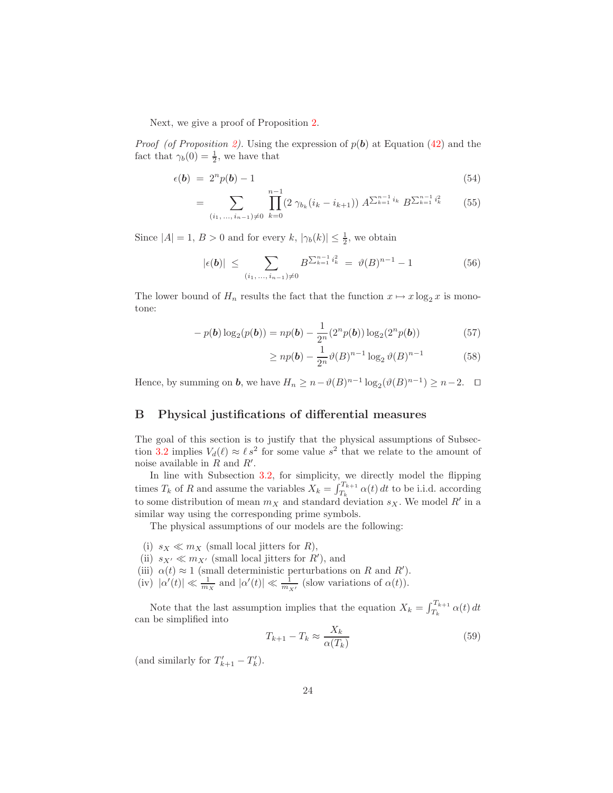Next, we give a proof of Proposition [2.](#page-6-2)

*Proof (of Proposition [2\)](#page-6-2)*. Using the expression of  $p(b)$  at Equation [\(42\)](#page-21-0) and the fact that  $\gamma_b(0) = \frac{1}{2}$ , we have that

$$
\epsilon(\mathbf{b}) = 2^n p(\mathbf{b}) - 1 \tag{54}
$$

$$
= \sum_{(i_1,\dots,i_{n-1})\neq 0} \prod_{k=0}^{n-1} (2 \gamma_{b_k} (i_k - i_{k+1})) A^{\sum_{k=1}^{n-1} i_k} B^{\sum_{k=1}^{n-1} i_k^2} \tag{55}
$$

Since  $|A| = 1, B > 0$  and for every  $k, |\gamma_b(k)| \leq \frac{1}{2}$ , we obtain

$$
|\epsilon(\mathbf{b})| \leq \sum_{(i_1,\dots,i_{n-1})\neq 0} B^{\sum_{k=1}^{n-1} i_k^2} = \vartheta(B)^{n-1} - 1 \tag{56}
$$

The lower bound of  $H_n$  results the fact that the function  $x \mapsto x \log_2 x$  is monotone:

$$
-p(\mathbf{b})\log_2(p(\mathbf{b})) = np(\mathbf{b}) - \frac{1}{2^n}(2^n p(\mathbf{b}))\log_2(2^n p(\mathbf{b}))
$$
\n(57)

$$
\geq np(\boldsymbol{b}) - \frac{1}{2^n} \vartheta(B)^{n-1} \log_2 \vartheta(B)^{n-1} \tag{58}
$$

Hence, by summing on **b**, we have  $H_n \ge n - \vartheta(B)^{n-1} \log_2(\vartheta(B)^{n-1}) \ge n-2.$   $\Box$ 

## <span id="page-23-0"></span>B Physical justifications of differential measures

The goal of this section is to justify that the physical assumptions of Subsec-tion [3.2](#page-9-1) implies  $V_d(\ell) \approx \ell s^2$  for some value  $s^2$  that we relate to the amount of noise available in  $R$  and  $R'$ .

In line with Subsection [3.2,](#page-9-1) for simplicity, we directly model the flipping times  $T_k$  of R and assume the variables  $X_k = \int_{T_k}^{T_{k+1}} \alpha(t) dt$  to be i.i.d. according to some distribution of mean  $m_X$  and standard deviation  $s_X$ . We model R' in a similar way using the corresponding prime symbols.

The physical assumptions of our models are the following:

- (i)  $s_X \ll m_X$  (small local jitters for R),
- <span id="page-23-2"></span>(ii)  $s_{X'} \ll m_{X'}$  (small local jitters for  $R'$ ), and
- <span id="page-23-3"></span>(iii)  $\alpha(t) \approx 1$  (small deterministic perturbations on R and R').
- (iv)  $|\alpha'(t)| \ll \frac{1}{m_X}$  and  $|\alpha'(t)| \ll \frac{1}{m_{X'}}$  (slow variations of  $\alpha(t)$ ).

Note that the last assumption implies that the equation  $X_k = \int_{T_k}^{T_{k+1}} \alpha(t) dt$ can be simplified into

$$
T_{k+1} - T_k \approx \frac{X_k}{\alpha(T_k)}\tag{59}
$$

<span id="page-23-1"></span>(and similarly for  $T'_{k+1} - T'_{k}$ ).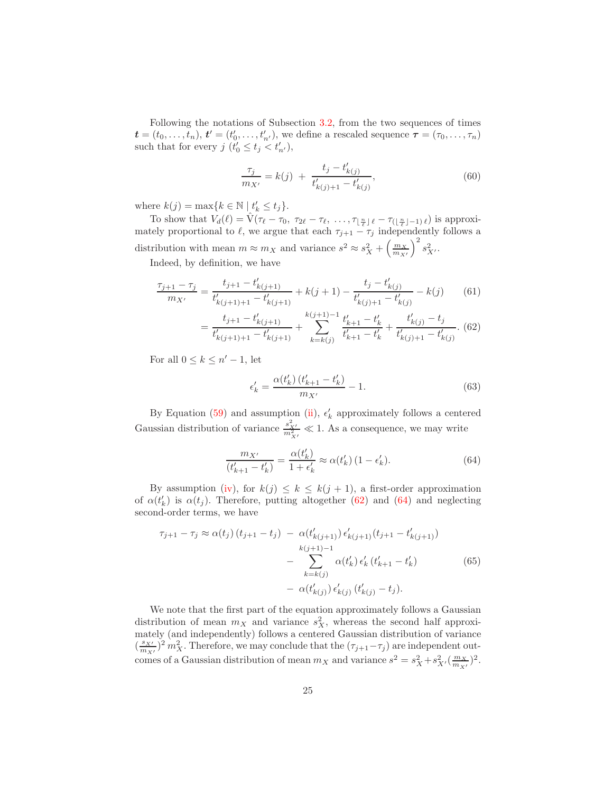Following the notations of Subsection [3.2,](#page-9-1) from the two sequences of times  $\boldsymbol{t}=(t_0,\ldots,t_n),\,\boldsymbol{t}'=(t_0',\ldots,t_{n'}'),$  we define a rescaled sequence  $\boldsymbol{\tau}=(\tau_0,\ldots,\tau_n)$ such that for every  $j$   $(t'_0 \le t_j < t'_{n'})$ ,

$$
\frac{\tau_j}{m_{X'}} = k(j) + \frac{t_j - t'_{k(j)}}{t'_{k(j)+1} - t'_{k(j)}},\tag{60}
$$

where  $k(j) = \max\{k \in \mathbb{N} \mid t'_k \le t_j\}.$ 

To show that  $V_d(\ell) = \hat{V}(\tau_{\ell} - \tau_0, \tau_{2\ell} - \tau_{\ell}, \ldots, \tau_{\lfloor \frac{n}{\ell} \rfloor \ell} - \tau_{(\lfloor \frac{n}{\ell} \rfloor - 1)\ell})$  is approximately proportional to  $\ell$ , we argue that each  $\tau_{j+1} - \tau_j$  independently follows a distribution with mean  $m \approx m_X$  and variance  $s^2 \approx s_X^2 + \left(\frac{m_X}{m_{X'}}\right)^2 s_{X'}^2$ . Indeed, by definition, we have

<span id="page-24-0"></span>
$$
\frac{\tau_{j+1} - \tau_j}{m_{X'}} = \frac{t_{j+1} - t'_{k(j+1)}}{t'_{k(j+1)+1} - t'_{k(j+1)}} + k(j+1) - \frac{t_j - t'_{k(j)}}{t'_{k(j)+1} - t'_{k(j)}} - k(j)
$$
(61)  

$$
= \frac{t_{j+1} - t'_{k(j+1)}}{t'_{k(j+1)+1} - t'_{k(j+1)}} + \sum_{k=k(j)}^{k(j+1)-1} \frac{t'_{k+1} - t'_{k}}{t'_{k+1} - t'_{k}} + \frac{t'_{k(j)} - t_j}{t'_{k(j)+1} - t'_{k(j)}}.
$$
(62)

For all  $0 \leq k \leq n'-1$ , let

$$
\epsilon'_{k} = \frac{\alpha(t'_{k})\,(t'_{k+1} - t'_{k})}{m_{X'}} - 1.
$$
\n(63)

By Equation [\(59\)](#page-23-1) and assumption [\(ii\)](#page-23-2),  $\epsilon'_{k}$  approximately follows a centered Gaussian distribution of variance  $\frac{s_{XY}^2}{m_{XY}^2} \ll 1$ . As a consequence, we may write

$$
\frac{m_{X'}}{(t'_{k+1} - t'_k)} = \frac{\alpha(t'_k)}{1 + \epsilon'_k} \approx \alpha(t'_k) (1 - \epsilon'_k).
$$
\n(64)

<span id="page-24-1"></span>By assumption [\(iv\)](#page-23-3), for  $k(j) \leq k \leq k(j + 1)$ , a first-order approximation of  $\alpha(t'_k)$  is  $\alpha(t_j)$ . Therefore, putting altogether [\(62\)](#page-24-0) and [\(64\)](#page-24-1) and neglecting second-order terms, we have

$$
\tau_{j+1} - \tau_j \approx \alpha(t_j) (t_{j+1} - t_j) - \alpha(t'_{k(j+1)}) \epsilon'_{k(j+1)}(t_{j+1} - t'_{k(j+1)}) \n- \sum_{k=k(j)}^{k(j+1)-1} \alpha(t'_{k}) \epsilon'_{k} (t'_{k+1} - t'_{k})
$$
\n(65)\n  
\n- \alpha(t'\_{k(j)}) \epsilon'\_{k(j)} (t'\_{k(j)} - t\_j).

We note that the first part of the equation approximately follows a Gaussian distribution of mean  $m_X$  and variance  $s_X^2$ , whereas the second half approximately (and independently) follows a centered Gaussian distribution of variance  $\left(\frac{s_X}{m}\right)$  $\frac{s_{X'}}{m_{X'}}$ )<sup>2</sup>  $m_X^2$ . Therefore, we may conclude that the  $(\tau_{j+1}-\tau_j)$  are independent outcomes of a Gaussian distribution of mean  $m_X$  and variance  $s^2 = s_X^2 + s_{X'}^2(\frac{m_X}{m_{X'}})^2$ .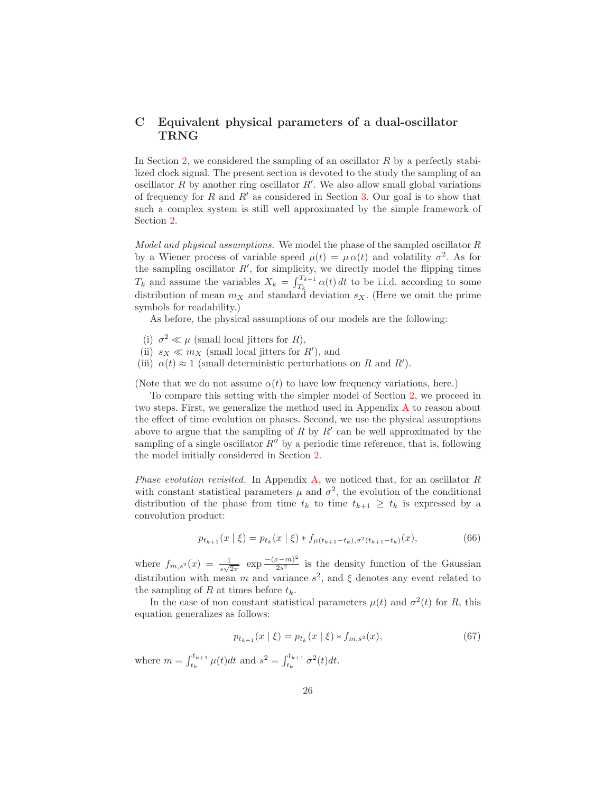# <span id="page-25-0"></span>C Equivalent physical parameters of a dual-oscillator TRNG

In Section [2,](#page-2-0) we considered the sampling of an oscillator  $R$  by a perfectly stabilized clock signal. The present section is devoted to the study the sampling of an oscillator  $R$  by another ring oscillator  $R'$ . We also allow small global variations of frequency for R and  $R'$  as considered in Section [3.](#page-7-0) Our goal is to show that such a complex system is still well approximated by the simple framework of Section [2.](#page-2-0)

*Model and physical assumptions.* We model the phase of the sampled oscillator  $R$ by a Wiener process of variable speed  $\mu(t) = \mu \alpha(t)$  and volatility  $\sigma^2$ . As for the sampling oscillator  $R'$ , for simplicity, we directly model the flipping times  $T_k$  and assume the variables  $X_k = \int_{T_k}^{T_{k+1}} \alpha(t) dt$  to be i.i.d. according to some distribution of mean  $m_X$  and standard deviation  $s_X$ . (Here we omit the prime symbols for readability.)

As before, the physical assumptions of our models are the following:

- <span id="page-25-2"></span>(i)  $\sigma^2 \ll \mu$  (small local jitters for R),
- <span id="page-25-5"></span>(ii)  $s_X \ll m_X$  (small local jitters for  $R'$ ), and
- <span id="page-25-3"></span>(iii)  $\alpha(t) \approx 1$  (small deterministic perturbations on R and R').

(Note that we do not assume  $\alpha(t)$  to have low frequency variations, here.)

To compare this setting with the simpler model of Section [2,](#page-2-0) we proceed in two steps. First, we generalize the method used in Appendix [A](#page-17-3) to reason about the effect of time evolution on phases. Second, we use the physical assumptions above to argue that the sampling of R by  $R'$  can be well approximated by the sampling of a single oscillator  $R''$  by a periodic time reference, that is, following the model initially considered in Section [2.](#page-2-0)

*Phase evolution revisited.* In Appendix [A,](#page-17-3) we noticed that, for an oscillator  $R$ with constant statistical parameters  $\mu$  and  $\sigma^2$ , the evolution of the conditional distribution of the phase from time  $t_k$  to time  $t_{k+1} \geq t_k$  is expressed by a convolution product:

$$
p_{t_{k+1}}(x \mid \xi) = p_{t_k}(x \mid \xi) * f_{\mu(t_{k+1} - t_k), \sigma^2(t_{k+1} - t_k)}(x),
$$
\n(66)

<span id="page-25-4"></span>where  $f_{m,s^2}(x) = \frac{1}{s\sqrt{2\pi}} \exp \frac{-(x-m)^2}{2s^2}$  $\frac{z-m}{2s^2}$  is the density function of the Gaussian distribution with mean m and variance  $s^2$ , and  $\xi$  denotes any event related to the sampling of R at times before  $t_k$ .

In the case of non constant statistical parameters  $\mu(t)$  and  $\sigma^2(t)$  for R, this equation generalizes as follows:

$$
p_{t_{k+1}}(x \mid \xi) = p_{t_k}(x \mid \xi) * f_{m,s^2}(x), \tag{67}
$$

<span id="page-25-1"></span>where  $m = \int_{t_k}^{t_{k+1}} \mu(t)dt$  and  $s^2 = \int_{t_k}^{t_{k+1}} \sigma^2(t)dt$ .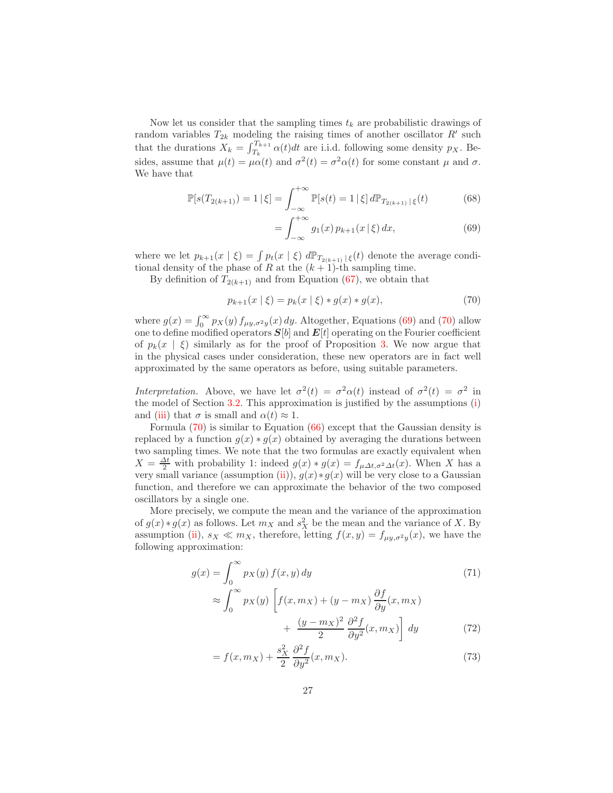Now let us consider that the sampling times  $t_k$  are probabilistic drawings of random variables  $T_{2k}$  modeling the raising times of another oscillator  $R'$  such that the durations  $X_k = \int_{T_k}^{T_{k+1}} \alpha(t) dt$  are i.i.d. following some density  $p_X$ . Besides, assume that  $\mu(t) = \mu \alpha(t)$  and  $\sigma^2(t) = \sigma^2 \alpha(t)$  for some constant  $\mu$  and  $\sigma$ . We have that

$$
\mathbb{P}[s(T_{2(k+1)}) = 1 | \xi] = \int_{-\infty}^{+\infty} \mathbb{P}[s(t) = 1 | \xi] d\mathbb{P}_{T_{2(k+1)} | \xi}(t)
$$
(68)

$$
= \int_{-\infty}^{+\infty} g_1(x) \, p_{k+1}(x \, | \, \xi) \, dx,\tag{69}
$$

<span id="page-26-0"></span>where we let  $p_{k+1}(x \mid \xi) = \int p_t(x \mid \xi) d\mathbb{P}_{T_{2(k+1)} | \xi}(t)$  denote the average conditional density of the phase of R at the  $(k+1)$ -th sampling time.

<span id="page-26-1"></span>By definition of  $T_{2(k+1)}$  and from Equation [\(67\)](#page-25-1), we obtain that

$$
p_{k+1}(x \mid \xi) = p_k(x \mid \xi) * g(x) * g(x), \tag{70}
$$

where  $g(x) = \int_0^\infty p_X(y) f_{\mu y, \sigma^2 y}(x) dy$ . Altogether, Equations [\(69\)](#page-26-0) and [\(70\)](#page-26-1) allow one to define modified operators  $\boldsymbol{S}[b]$  and  $\boldsymbol{E}[t]$  operating on the Fourier coefficient of  $p_k(x \mid \xi)$  similarly as for the proof of Proposition [3.](#page-19-0) We now argue that in the physical cases under consideration, these new operators are in fact well approximated by the same operators as before, using suitable parameters.

Interpretation. Above, we have let  $\sigma^2(t) = \sigma^2 \alpha(t)$  instead of  $\sigma^2(t) = \sigma^2$  in the model of Section [3.2.](#page-9-1) This approximation is justified by the assumptions [\(i\)](#page-25-2) and [\(iii\)](#page-25-3) that  $\sigma$  is small and  $\alpha(t) \approx 1$ .

Formula [\(70\)](#page-26-1) is similar to Equation [\(66\)](#page-25-4) except that the Gaussian density is replaced by a function  $g(x) * g(x)$  obtained by averaging the durations between two sampling times. We note that the two formulas are exactly equivalent when  $X = \frac{\Delta t}{2}$  with probability 1: indeed  $g(x) * g(x) = f_{\mu \Delta t, \sigma^2 \Delta t}(x)$ . When X has a very small variance (assumption [\(ii\)](#page-25-5)),  $g(x)*g(x)$  will be very close to a Gaussian function, and therefore we can approximate the behavior of the two composed oscillators by a single one.

More precisely, we compute the mean and the variance of the approximation of  $g(x) * g(x)$  as follows. Let  $m_X$  and  $s_X^2$  be the mean and the variance of X. By assumption [\(ii\)](#page-25-5),  $s_X \ll m_X$ , therefore, letting  $f(x, y) = f_{\mu y, \sigma^2 y}(x)$ , we have the following approximation:

$$
g(x) = \int_0^\infty p_X(y) f(x, y) dy
$$
  
\n
$$
\approx \int_0^\infty p_X(y) \left[ f(x, m_X) + (y - m_X) \frac{\partial f}{\partial y}(x, m_X) \right]
$$
\n(71)

$$
+\frac{(y-m_X)^2}{2}\frac{\partial^2 f}{\partial y^2}(x,m_X)\bigg] dy \qquad (72)
$$

$$
= f(x, m_X) + \frac{s_X^2}{2} \frac{\partial^2 f}{\partial y^2}(x, m_X).
$$
\n(73)